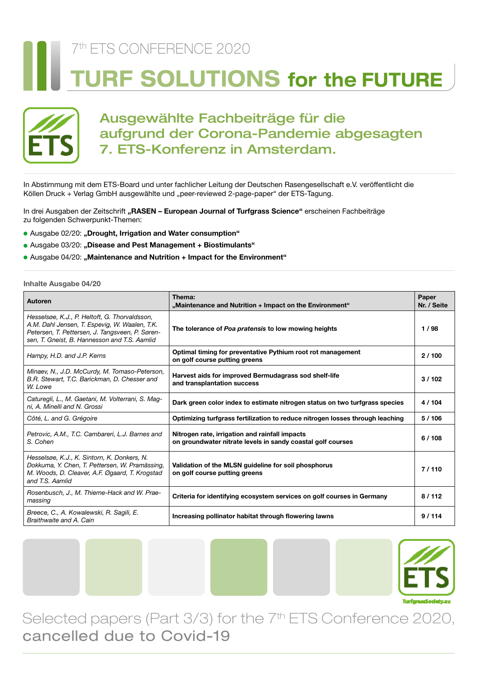# 7th ETS CONFERENCE 2020 **JRF SOLUTIONS for the FUTURE**



# Ausgewählte Fachbeiträge für die aufgrund der Corona-Pandemie abgesagten 7. ETS-Konferenz in Amsterdam.

In Abstimmung mit dem ETS-Board und unter fachlicher Leitung der Deutschen Rasengesellschaft e.V. veröffentlicht die Köllen Druck + Verlag GmbH ausgewählte und "peer-reviewed 2-page-paper" der ETS-Tagung.

In drei Ausgaben der Zeitschrift **"RASEN – European Journal of Turfgrass Science"** erscheinen Fachbeiträge zu folgenden Schwerpunkt-Themen:

- Ausgabe 02/20: "Drought, Irrigation and Water consumption"
- ) Ausgabe 03/20: **"Disease and Pest Management + Biostimulants"**
- Ausgabe 04/20: "Maintenance and Nutrition + Impact for the Environment"

**Inhalte Ausgabe 04/20**

| Autoren                                                                                                                                                                                           | Thema:<br>"Maintenance and Nutrition + Impact on the Environment"                                             | Paper<br>Nr. / Seite |
|---------------------------------------------------------------------------------------------------------------------------------------------------------------------------------------------------|---------------------------------------------------------------------------------------------------------------|----------------------|
| Hesselsøe, K.J., P. Heltoft, G. Thorvaldsson,<br>A.M. Dahl Jensen, T. Espevig, W. Waalen, T.K.<br>Petersen, T. Pettersen, J. Tangsveen, P. Søren-<br>sen, T. Gneist, B. Hannesson and T.S. Aamlid | The tolerance of Poa pratensis to low mowing heights                                                          | 1/98                 |
| Hampy, H.D. and J.P. Kerns                                                                                                                                                                        | Optimal timing for preventative Pythium root rot management<br>on golf course putting greens                  | 2/100                |
| Minaev, N., J.D. McCurdy, M. Tomaso-Peterson,<br>B.R. Stewart, T.C. Barickman, D. Chesser and<br>W. Lowe                                                                                          | Harvest aids for improved Bermudagrass sod shelf-life<br>and transplantation success                          | 3/102                |
| Caturegli, L., M. Gaetani, M. Volterrani, S. Mag-<br>ni, A. Minelli and N. Grossi                                                                                                                 | Dark green color index to estimate nitrogen status on two turfgrass species                                   | 4/104                |
| Côté, L. and G. Grégoire                                                                                                                                                                          | Optimizing turfgrass fertilization to reduce nitrogen losses through leaching                                 | 5/106                |
| Petrovic, A.M., T.C. Cambareri, L.J. Barnes and<br>S. Cohen                                                                                                                                       | Nitrogen rate, irrigation and rainfall impacts<br>on groundwater nitrate levels in sandy coastal golf courses | 6/108                |
| Hesselsøe, K.J., K. Sintorn, K. Donkers, N.<br>Dokkuma, Y. Chen, T. Pettersen, W. Pramässing,<br>M. Woods, D. Cleaver, A.F. Øgaard, T. Krogstad<br>and T.S. Aamlid                                | Validation of the MLSN guideline for soil phosphorus<br>on golf course putting greens                         | 7/110                |
| Rosenbusch, J., M. Thieme-Hack and W. Prae-<br>massing                                                                                                                                            | Criteria for identifying ecosystem services on golf courses in Germany                                        | 8/112                |
| Breece, C., A. Kowalewski, R. Sagili, E.<br>Braithwaite and A. Cain                                                                                                                               | Increasing pollinator habitat through flowering lawns                                                         | 9/114                |



Selected papers (Part 3/3) for the 7<sup>th</sup> ETS Conference 2020, cancelled due to Covid-19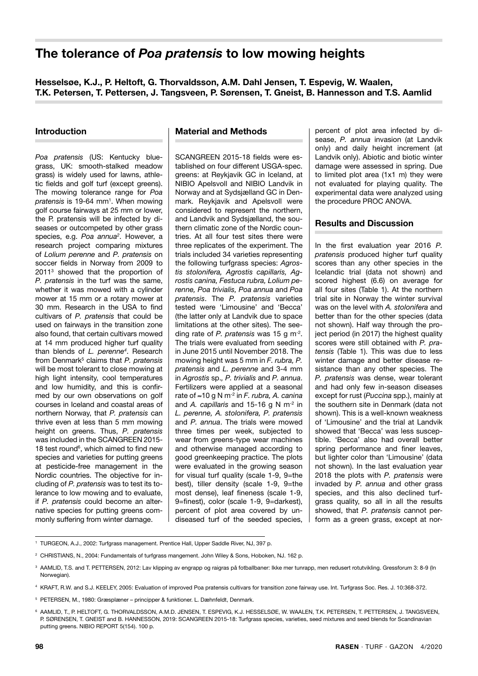# **The tolerance of** *Poa pratensis* **to low mowing heights**

**Hesselsøe, K.J., P. Heltoft, G. Thorvaldsson, A.M. Dahl Jensen, T. Espevig, W. Waalen, T.K. Petersen, T. Pettersen, J. Tangsveen, P. Sørensen, T. Gneist, B. Hannesson and T.S. Aamlid**

#### **Introduction**

*Poa pratensis* (US: Kentucky bluegrass, UK: smooth-stalked meadow grass) is widely used for lawns, athletic fields and golf turf (except greens). The mowing tolerance range for *Poa*  pratensis is 19-64 mm<sup>1</sup>. When mowing golf course fairways at 25 mm or lower, the P. pratensis will be infected by diseases or outcompeted by other grass species, e.g. *Poa annua*<sup>2</sup>. However, a research project comparing mixtures of *Lolium perenne* and *P. pratensis* on soccer fields in Norway from 2009 to 20113 showed that the proportion of *P. pratensis* in the turf was the same, whether it was mowed with a cylinder mower at 15 mm or a rotary mower at 30 mm. Research in the USA to find cultivars of *P. pratensis* that could be used on fairways in the transition zone also found, that certain cultivars mowed at 14 mm produced higher turf quality than blends of *L. perenne4* . Research from Denmark<sup>5</sup> claims that *P. pratensis* will be most tolerant to close mowing at high light intensity, cool temperatures and low humidity, and this is confirmed by our own observations on golf courses in Iceland and coastal areas of northern Norway, that *P. pratensis* can thrive even at less than 5 mm mowing height on greens. Thus, *P. pratensis* was included in the SCANGREEN 2015- 18 test round<sup>6</sup>, which aimed to find new species and varieties for putting greens at pesticide-free management in the Nordic countries. The objective for including of *P. pratensis* was to test its tolerance to low mowing and to evaluate, if *P. pratensis* could become an alternative species for putting greens commonly suffering from winter damage.

#### **Material and Methods**

SCANGREEN 2015-18 fields were established on four different USGA-spec. greens: at Reykjavik GC in Iceland, at NIBIO Apelsvoll and NIBIO Landvik in Norway and at Sydsjælland GC in Denmark. Reykjavik and Apelsvoll were considered to represent the northern, and Landvik and Sydsjælland, the southern climatic zone of the Nordic countries. At all four test sites there were three replicates of the experiment. The trials included 34 varieties representing the following turfgrass species: *Agrostis stolonifera, Agrostis capillaris, Agrostis canina, Festuca rubra, Lolium perenne, Poa trivialis, Poa annua* and *Poa pratensis*. The *P. pratensis* varieties tested were 'Limousine' and 'Becca' (the latter only at Landvik due to space limitations at the other sites). The seeding rate of *P. pratensis* was 15 g m-2. The trials were evaluated from seeding in June 2015 until November 2018. The mowing height was 5 mm in *F. rubra, P. pratensis* and *L. perenne* and 3-4 mm in *Agrostis* sp.*, P. trivialis* and *P. annua*. Fertilizers were applied at a seasonal rate of ≈10 g N m-2 in *F. rubra, A. canina* and *A. capillaris* and 15-16 g N m-2 in *L. perenne, A. stolonifera, P. pratensis* and *P. annua*. The trials were mowed three times per week, subjected to wear from greens-type wear machines and otherwise managed according to good greenkeeping practice. The plots were evaluated in the growing season for visual turf quality (scale 1-9, 9=the best), tiller density (scale 1-9, 9=the most dense), leaf fineness (scale 1-9, 9=finest), color (scale 1-9, 9=darkest), percent of plot area covered by undiseased turf of the seeded species, percent of plot area infected by disease, *P. annua* invasion (at Landvik only) and daily height increment (at Landvik only). Abiotic and biotic winter damage were assessed in spring. Due to limited plot area (1x1 m) they were not evaluated for playing quality. The experimental data were analyzed using the procedure PROC ANOVA.

# **Results and Discussion**

In the first evaluation year 2016 *P. pratensis* produced higher turf quality scores than any other species in the Icelandic trial (data not shown) and scored highest (6.6) on average for all four sites (Table 1). At the northern trial site in Norway the winter survival was on the level with *A. stolonifera* and better than for the other species (data not shown). Half way through the project period (in 2017) the highest quality scores were still obtained with *P. pratensis* (Table 1). This was due to less winter damage and better disease resistance than any other species. The *P. pratensis* was dense, wear tolerant and had only few in-season diseases except for rust (*Puccina* spp.), mainly at the southern site in Denmark (data not shown). This is a well-known weakness of 'Limousine' and the trial at Landvik showed that 'Becca' was less susceptible. 'Becca' also had overall better spring performance and finer leaves, but lighter color than 'Limousine' (data not shown). In the last evaluation year 2018 the plots with *P. pratensis* were invaded by *P. annua* and other grass species, and this also declined turfgrass quality, so all in all the results showed, that *P. pratensis* cannot perform as a green grass, except at nor-

<sup>1</sup> TURGEON, A.J., 2002: Turfgrass management. Prentice Hall, Upper Saddle River, NJ, 397 p.

<sup>&</sup>lt;sup>2</sup> CHRISTIANS, N., 2004: Fundamentals of turfgrass mangement. John Wiley & Sons, Hoboken, NJ. 162 p.

<sup>&</sup>lt;sup>3</sup> AAMLID, T.S. and T. PETTERSEN, 2012: Lav klipping av engrapp og raigras på fotballbaner: Ikke mer tunrapp, men redusert rotutvikling. Gressforum 3: 8-9 (In Norwegian).

<sup>4</sup> KRAFT, R.W. and S.J. KEELEY, 2005: Evaluation of improved Poa pratensis cultivars for transition zone fairway use. Int. Turfgrass Soc. Res. J. 10:368-372.

<sup>5</sup> PETERSEN, M., 1980: Græsplæner – principper & funktioner. L. Dæhnfeldt, Denmark.

<sup>6</sup> AAMLID, T., P. HELTOFT, G. THORVALDSSON, A.M.D. JENSEN, T. ESPEVIG, K.J. HESSELSØE, W. WAALEN, T.K. PETERSEN, T. PETTERSEN, J. TANGSVEEN, P. SØRENSEN, T. GNEIST and B. HANNESSON, 2019: SCANGREEN 2015-18: Turfgrass species, varieties, seed mixtures and seed blends for Scandinavian putting greens. NIBIO REPORT 5(154). 100 p.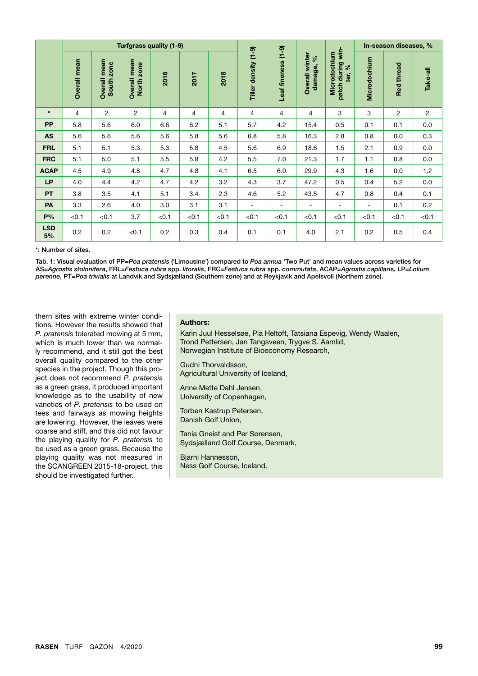|                  |                | In-season diseases, %<br>Turfgrass quality (1-9) |                            |       |       |       |                          |                            |                                       |                                                       |              |                   |          |  |  |  |
|------------------|----------------|--------------------------------------------------|----------------------------|-------|-------|-------|--------------------------|----------------------------|---------------------------------------|-------------------------------------------------------|--------------|-------------------|----------|--|--|--|
|                  | Overall mean   | Overall mean<br>South zone                       | Overall mean<br>North zone | 2016  | 2017  | 2018  | Tiller density (1-9)     | $(6 - 1)$<br>Leaf fineness | <b>Overall winter</b><br>ৡ<br>damage, | patch during win-<br>Microdochium<br>$\infty$<br>ter, | Microdochium | <b>Red thread</b> | Take-all |  |  |  |
| $\star$          | $\overline{4}$ | $\overline{2}$                                   | $\overline{c}$             | 4     | 4     | 4     | 4                        | $\overline{4}$             | 4                                     | 3                                                     | 3            | $\overline{c}$    | 2        |  |  |  |
| <b>PP</b>        | 5.8            | 5.6                                              | 6.0                        | 6.6   | 6.2   | 5.1   | 5.7                      | 4.2                        | 15.4                                  | 0.5                                                   | 0.1          | 0.1               | 0.0      |  |  |  |
| <b>AS</b>        | 5.6            | 5.6                                              | 5.6                        | 5.6   | 5.8   | 5.6   | 6.8                      | 5.8                        | 16.3                                  | 2.8                                                   | 0.8          | 0.0               | 0.3      |  |  |  |
| <b>FRL</b>       | 5.1            | 5.1                                              | 5.3                        | 5.3   | 5.8   | 4.5   | 5.6                      | 6.9                        | 18.6                                  | 1.5                                                   | 2.1          | 0.9               | 0.0      |  |  |  |
| <b>FRC</b>       | 5.1            | 5.0                                              | 5.1                        | 5.5   | 5.8   | 4.2   | 5.5                      | 7.0                        | 21.3                                  | 1.7                                                   | 1.1          | 0.8               | 0.0      |  |  |  |
| <b>ACAP</b>      | 4.5            | 4.9                                              | 4.8                        | 4.7   | 4.8   | 4.1   | 6.5                      | 6.0                        | 29.9                                  | 4.3                                                   | 1.6          | 0.0               | 1.2      |  |  |  |
| <b>LP</b>        | 4.0            | 4.4                                              | 4.2                        | 4.7   | 4.2   | 3.2   | 4.3                      | 3.7                        | 47.2                                  | 0.5                                                   | 0.4          | 5.2               | 0.0      |  |  |  |
| PT               | 3.8            | 3.5                                              | 4.1                        | 5.1   | 3.4   | 2.3   | 4.6                      | 5.2                        | 43.5                                  | 4.7                                                   | 0.8          | 0.4               | 0.1      |  |  |  |
| PA               | 3.3            | 2.6                                              | 4.0                        | 3.0   | 3.1   | 3.1   | $\overline{\phantom{a}}$ | $\overline{\phantom{a}}$   | $\overline{\phantom{a}}$              | ۰                                                     | ۰            | 0.1               | 0.2      |  |  |  |
| P%               | < 0.1          | < 0.1                                            | 3.7                        | < 0.1 | < 0.1 | < 0.1 | < 0.1                    | < 0.1                      | < 0.1                                 | < 0.1                                                 | < 0.1        | < 0.1             | < 0.1    |  |  |  |
| <b>LSD</b><br>5% | 0.2            | 0.2                                              | < 0.1                      | 0.2   | 0.3   | 0.4   | 0.1                      | 0.1                        | 4.0                                   | 2.1                                                   | 0.2          | 0.5               | 0.4      |  |  |  |

\*: Number of sites.

Tab. 1: Visual evaluation of PP=*Poa pratensis* ('Limousine') compared to *Poa annua* 'Two Put' and mean values across varieties for AS=*Agrostis stolonifera*, FRL=*Festuca rubra* spp. *litoralis*, FRC=*Festuca rubra* spp. *commutata*, ACAP=*Agrostis capillari*s, LP=*Lolium perenne*, PT=*Poa trivialis* at Landvik and Sydsjælland (Southern zone) and at Reykjavik and Apelsvoll (Northern zone).

thern sites with extreme winter conditions. However the results showed that *P. pratensis* tolerated mowing at 5 mm, which is much lower than we normally recommend, and it still got the best overall quality compared to the other species in the project. Though this project does not recommend *P. pratensis* as a green grass, it produced important knowledge as to the usability of new varieties of *P. pratensis* to be used on tees and fairways as mowing heights are lowering. However, the leaves were coarse and stiff, and this did not favour the playing quality for *P. pratensis* to be used as a green grass. Because the playing quality was not measured in the SCANGREEN 2015-18-project, this should be investigated further.

### **Authors:**

Karin Juul Hesselsøe, Pia Heltoft, Tatsiana Espevig, Wendy Waalen, Trond Pettersen, Jan Tangsveen, Trygve S. Aamlid, Norwegian Institute of Bioeconomy Research,

Gudni Thorvaldsson, Agricultural University of Iceland,

Anne Mette Dahl Jensen, University of Copenhagen,

Torben Kastrup Petersen, Danish Golf Union,

Tania Gneist and Per Sørensen, Sydsjælland Golf Course, Denmark,

Bjarni Hannesson, Ness Golf Course, Iceland.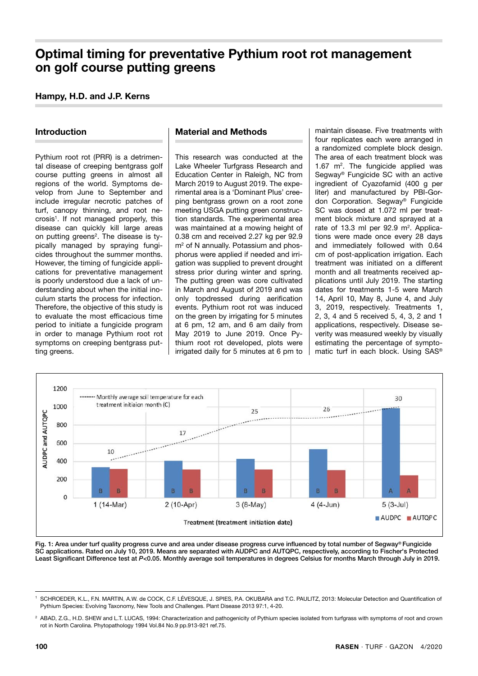# **Optimal timing for preventative Pythium root rot management on golf course putting greens**

# **Hampy, H.D. and J.P. Kerns**

# **Introduction**

Pythium root rot (PRR) is a detrimental disease of creeping bentgrass golf course putting greens in almost all regions of the world. Symptoms develop from June to September and include irregular necrotic patches of turf, canopy thinning, and root necrosis<sup>1</sup>. If not managed properly, this disease can quickly kill large areas on putting greens<sup>2</sup>. The disease is typically managed by spraying fungicides throughout the summer months. However, the timing of fungicide applications for preventative management is poorly understood due a lack of understanding about when the initial inoculum starts the process for infection. Therefore, the objective of this study is to evaluate the most efficacious time period to initiate a fungicide program in order to manage Pythium root rot symptoms on creeping bentgrass putting greens.

#### **Material and Methods**

This research was conducted at the Lake Wheeler Turfgrass Research and Education Center in Raleigh, NC from March 2019 to August 2019. The experimental area is a 'Dominant Plus' creeping bentgrass grown on a root zone meeting USGA putting green construction standards. The experimental area was maintained at a mowing height of 0.38 cm and received 2.27 kg per 92.9 m<sup>2</sup> of N annually. Potassium and phosphorus were applied if needed and irrigation was supplied to prevent drought stress prior during winter and spring. The putting green was core cultivated in March and August of 2019 and was only topdressed during aerification events. Pythium root rot was induced on the green by irrigating for 5 minutes at 6 pm, 12 am, and 6 am daily from May 2019 to June 2019. Once Pythium root rot developed, plots were irrigated daily for 5 minutes at 6 pm to

maintain disease. Five treatments with four replicates each were arranged in a randomized complete block design. The area of each treatment block was 1.67  $m^2$ . The fungicide applied was Segway® Fungicide SC with an active ingredient of Cyazofamid (400 g per liter) and manufactured by PBI-Gordon Corporation. Segway® Fungicide SC was dosed at 1.072 ml per treatment block mixture and sprayed at a rate of 13.3 ml per  $92.9$  m<sup>2</sup>. Applications were made once every 28 days and immediately followed with 0.64 cm of post-application irrigation. Each treatment was initiated on a different month and all treatments received applications until July 2019. The starting dates for treatments 1-5 were March 14, April 10, May 8, June 4, and July 3, 2019, respectively. Treatments 1, 2, 3, 4 and 5 received 5, 4, 3, 2 and 1 applications, respectively. Disease severity was measured weekly by visually estimating the percentage of symptomatic turf in each block. Using SAS®



Fig. 1: Area under turf quality progress curve and area under disease progress curve influenced by total number of Segway® Fungicide SC applications. Rated on July 10, 2019. Means are separated with AUDPC and AUTQPC, respectively, according to Fischer's Protected Least Significant Difference test at *P*<0.05. Monthly average soil temperatures in degrees Celsius for months March through July in 2019.

<sup>1</sup> SCHROEDER, K.L., F.N. MARTIN, A.W. de COCK, C.F. LÉVESQUE, J. SPIES, P.A. OKUBARA and T.C. PAULITZ, 2013: Molecular Detection and Quantification of Pythium Species: Evolving Taxonomy, New Tools and Challenges. Plant Disease 2013 97:1, 4-20.

<sup>&</sup>lt;sup>2</sup> ABAD, Z.G., H.D. SHEW and L.T. LUCAS, 1994: Characterization and pathogenicity of Pythium species isolated from turfgrass with symptoms of root and crown rot in North Carolina. Phytopathology 1994 Vol.84 No.9 pp.913-921 ref.75.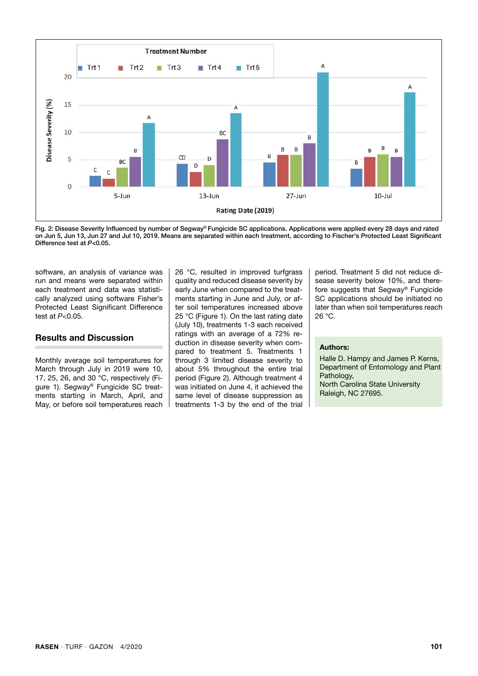

Fig. 2: Disease Severity Influenced by number of Segway® Fungicide SC applications. Applications were applied every 28 days and rated on Jun 5, Jun 13, Jun 27 and Jul 10, 2019. Means are separated within each treatment, according to Fischer's Protected Least Significant Difference test at *P*<0.05.

software, an analysis of variance was run and means were separated within each treatment and data was statistically analyzed using software Fisher's Protected Least Significant Difference test at *P*<0.05.

#### **Results and Discussion**

Monthly average soil temperatures for March through July in 2019 were 10, 17, 25, 26, and 30 °C, respectively (Figure 1). Segway® Fungicide SC treatments starting in March, April, and May, or before soil temperatures reach 26 °C, resulted in improved turfgrass quality and reduced disease severity by early June when compared to the treatments starting in June and July, or after soil temperatures increased above 25 °C (Figure 1). On the last rating date (July 10), treatments 1-3 each received ratings with an average of a 72% reduction in disease severity when compared to treatment 5. Treatments 1 through 3 limited disease severity to about 5% throughout the entire trial period (Figure 2). Although treatment 4 was initiated on June 4, it achieved the same level of disease suppression as treatments 1-3 by the end of the trial period. Treatment 5 did not reduce disease severity below 10%, and therefore suggests that Segway® Fungicide SC applications should be initiated no later than when soil temperatures reach 26 °C.

#### **Authors:**

Halle D. Hampy and James P. Kerns. Department of Entomology and Plant Pathology, North Carolina State University Raleigh, NC 27695.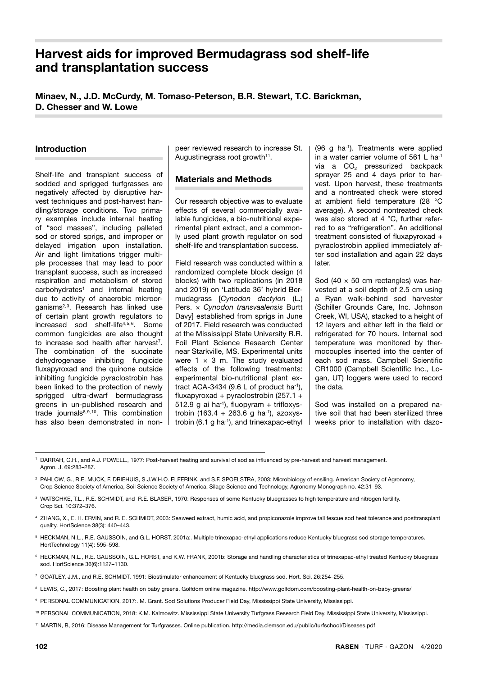# **Harvest aids for improved Bermudagrass sod shelf-life and transplantation success**

**Minaev, N., J.D. McCurdy, M. Tomaso-Peterson, B.R. Stewart, T.C. Barickman, D. Chesser and W. Lowe**

## **Introduction**

Shelf-life and transplant success of sodded and sprigged turfgrasses are negatively affected by disruptive harvest techniques and post-harvest handling/storage conditions. Two primary examples include internal heating of "sod masses", including palleted sod or stored sprigs, and improper or delayed irrigation upon installation. Air and light limitations trigger multiple processes that may lead to poor transplant success, such as increased respiration and metabolism of stored carbohydrates<sup>1</sup> and internal heating due to activity of anaerobic microorganisms<sup>2,3</sup>. Research has linked use of certain plant growth regulators to increased sod shelf-life<sup>4,5,6</sup>. Some common fungicides are also thought to increase sod health after harvest<sup>7</sup>. The combination of the succinate dehydrogenase inhibiting fungicide fluxapyroxad and the quinone outside inhibiting fungicide pyraclostrobin has been linked to the protection of newly sprigged ultra-dwarf bermudagrass greens in un-published research and trade journals $8,9,10$ . This combination has also been demonstrated in non-

peer reviewed research to increase St. Augustinegrass root growth<sup>11</sup>.

## **Materials and Methods**

Our research objective was to evaluate effects of several commercially available fungicides, a bio-nutritional experimental plant extract, and a commonly used plant growth regulator on sod shelf-life and transplantation success.

Field research was conducted within a randomized complete block design (4 blocks) with two replications (in 2018 and 2019) on 'Latitude 36' hybrid Bermudagrass [*Cynodon dactylon* (L.) Pers. × *Cynodon transvaalensis* Burtt Davy] established from sprigs in June of 2017. Field research was conducted at the Mississippi State University R.R. Foil Plant Science Research Center near Starkville, MS. Experimental units were  $1 \times 3$  m. The study evaluated effects of the following treatments: experimental bio-nutritional plant extract ACA-3434 (9.6 L of product ha<sup>-1</sup>), fluxapyroxad + pyraclostrobin (257.1 + 512.9 g ai ha<sup>-1</sup>), fluopyram + trifloxystrobin (163.4 + 263.6 g ha-1), azoxystrobin (6.1 g ha<sup>-1</sup>), and trinexapac-ethyl (96 g ha-1). Treatments were applied in a water carrier volume of 561 L ha<sup>-1</sup> via a  $CO<sub>2</sub>$  pressurized backpack sprayer 25 and 4 days prior to harvest. Upon harvest, these treatments and a nontreated check were stored at ambient field temperature (28 °C average). A second nontreated check was also stored at 4 °C, further referred to as "refrigeration". An additional treatment consisted of fluxapyroxad + pyraclostrobin applied immediately after sod installation and again 22 days later.

Sod (40  $\times$  50 cm rectangles) was harvested at a soil depth of 2.5 cm using a Ryan walk-behind sod harvester (Schiller Grounds Care, Inc. Johnson Creek, WI, USA), stacked to a height of 12 layers and either left in the field or refrigerated for 70 hours. Internal sod temperature was monitored by thermocouples inserted into the center of each sod mass. Campbell Scientific CR1000 (Campbell Scientific Inc., Logan, UT) loggers were used to record the data.

Sod was installed on a prepared native soil that had been sterilized three weeks prior to installation with dazo-

DARRAH, C.H., and A.J. POWELL., 1977: Post-harvest heating and survival of sod as influenced by pre-harvest and harvest management. Agron. J. 69:283–287.

2 PAHLOW, G., R.E. MUCK, F. DRIEHUIS, S.J.W.H.O. ELFERINK, and S.F. SPOELSTRA, 2003: Microbiology of ensiling. American Society of Agronomy, Crop Science Society of America, Soil Science Society of America. Silage Science and Technology, Agronomy Monograph no. 42:31–93.

- 3 WATSCHKE, T.L., R.E. SCHMIDT, and R.E. BLASER, 1970: Responses of some Kentucky bluegrasses to high temperature and nitrogen fertility. Crop Sci. 10:372–376.
- 4 ZHANG, X., E. H. ERVIN, and R. E. SCHMIDT, 2003: Seaweed extract, humic acid, and propiconazole improve tall fescue sod heat tolerance and posttransplant quality. HortScience 38(3): 440–443.
- 5 HECKMAN, N.L., R.E. GAUSSOIN, and G.L. HORST, 2001a:. Multiple trinexapac-ethyl applications reduce Kentucky bluegrass sod storage temperatures. HortTechnology 11(4): 595–598.
- 6 HECKMAN, N.L., R.E. GAUSSOIN, G.L. HORST, and K.W. FRANK, 2001b: Storage and handling characteristics of trinexapac-ethyl treated Kentucky bluegrass sod. HortScience 36(6):1127–1130.

7 GOATLEY, J.M., and R.E. SCHMIDT, 1991: Biostimulator enhancement of Kentucky bluegrass sod. Hort. Sci. 26:254–255.

- 8 LEWIS, C., 2017: Boosting plant health on baby greens. Golfdom online magazine. http://www.golfdom.com/boosting-plant-health-on-baby-greens/
- 9 PERSONAL COMMUNICATION, 2017:. M. Grant. Sod Solutions Producer Field Day, Mississippi State University, Mississippi.
- <sup>10</sup> PERSONAL COMMUNICATION, 2018: K.M. Kalmowitz. Mississippi State University Turfgrass Research Field Day, Mississippi State University, Mississippi.

11 MARTIN, B, 2016: Disease Management for Turfgrasses. Online publication. http://media.clemson.edu/public/turfschool/Diseases.pdf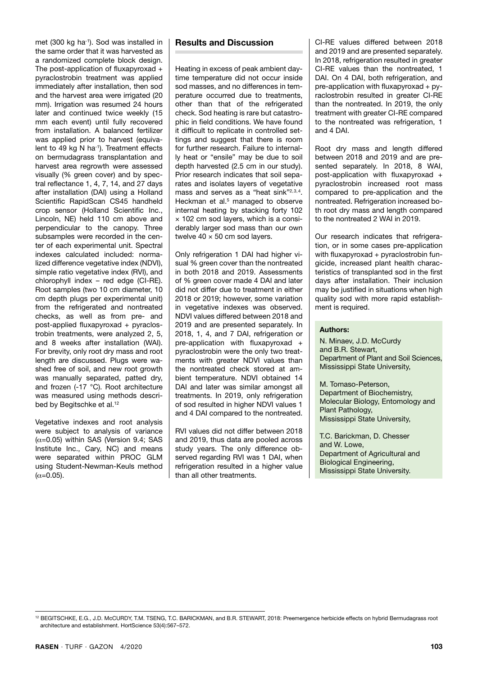met (300 kg ha-1). Sod was installed in the same order that it was harvested as a randomized complete block design. The post-application of fluxapyroxad + pyraclostrobin treatment was applied immediately after installation, then sod and the harvest area were irrigated (20 mm). Irrigation was resumed 24 hours later and continued twice weekly (15 mm each event) until fully recovered from installation. A balanced fertilizer was applied prior to harvest (equivalent to 49 kg N ha<sup>-1</sup>). Treatment effects on bermudagrass transplantation and harvest area regrowth were assessed visually (% green cover) and by spectral reflectance 1, 4, 7, 14, and 27 days after installation (DAI) using a Holland Scientific RapidScan CS45 handheld crop sensor (Holland Scientific Inc., Lincoln, NE) held 110 cm above and perpendicular to the canopy. Three subsamples were recorded in the center of each experimental unit. Spectral indexes calculated included: normalized difference vegetative index (NDVI), simple ratio vegetative index (RVI), and chlorophyll index – red edge (CI-RE). Root samples (two 10 cm diameter, 10 cm depth plugs per experimental unit) from the refrigerated and nontreated checks, as well as from pre- and post-applied fluxapyroxad + pyraclostrobin treatments, were analyzed 2, 5, and 8 weeks after installation (WAI). For brevity, only root dry mass and root length are discussed. Plugs were washed free of soil, and new root growth was manually separated, patted dry, and frozen (-17 °C). Root architecture was measured using methods described by Begitschke et al.<sup>12</sup>

Vegetative indexes and root analysis were subject to analysis of variance  $(\alpha=0.05)$  within SAS (Version 9.4; SAS Institute Inc., Cary, NC) and means were separated within PROC GLM using Student-Newman-Keuls method  $(\alpha = 0.05)$ .

#### **Results and Discussion**

Heating in excess of peak ambient daytime temperature did not occur inside sod masses, and no differences in temperature occurred due to treatments, other than that of the refrigerated check. Sod heating is rare but catastrophic in field conditions. We have found it difficult to replicate in controlled settings and suggest that there is room for further research. Failure to internally heat or "ensile" may be due to soil depth harvested (2.5 cm in our study). Prior research indicates that soil separates and isolates layers of vegetative mass and serves as a "heat sink"2,3,4. Heckman et al.<sup>5</sup> managed to observe internal heating by stacking forty 102 × 102 cm sod layers, which is a considerably larger sod mass than our own twelve  $40 \times 50$  cm sod lavers.

Only refrigeration 1 DAI had higher visual % green cover than the nontreated in both 2018 and 2019. Assessments of % green cover made 4 DAI and later did not differ due to treatment in either 2018 or 2019; however, some variation in vegetative indexes was observed. NDVI values differed between 2018 and 2019 and are presented separately. In 2018, 1, 4, and 7 DAI, refrigeration or pre-application with fluxapyroxad + pyraclostrobin were the only two treatments with greater NDVI values than the nontreated check stored at ambient temperature. NDVI obtained 14 DAI and later was similar amongst all treatments. In 2019, only refrigeration of sod resulted in higher NDVI values 1 and 4 DAI compared to the nontreated.

RVI values did not differ between 2018 and 2019, thus data are pooled across study years. The only difference observed regarding RVI was 1 DAI, when refrigeration resulted in a higher value than all other treatments.

CI-RE values differed between 2018 and 2019 and are presented separately. In 2018, refrigeration resulted in greater CI-RE values than the nontreated, 1 DAI. On 4 DAI, both refrigeration, and pre-application with fluxapyroxad + pyraclostrobin resulted in greater CI-RE than the nontreated. In 2019, the only treatment with greater CI-RE compared to the nontreated was refrigeration, 1 and 4 DAI.

Root dry mass and length differed between 2018 and 2019 and are presented separately. In 2018, 8 WAI, post-application with fluxapyroxad + pyraclostrobin increased root mass compared to pre-application and the nontreated. Refrigeration increased both root dry mass and length compared to the nontreated 2 WAI in 2019.

Our research indicates that refrigeration, or in some cases pre-application with fluxapyroxad + pyraclostrobin fungicide, increased plant health characteristics of transplanted sod in the first days after installation. Their inclusion may be justified in situations when high quality sod with more rapid establishment is required.

#### **Authors:**

N. Minaev, J.D. McCurdy and B.R. Stewart, Department of Plant and Soil Sciences, Mississippi State University,

M. Tomaso-Peterson, Department of Biochemistry, Molecular Biology, Entomology and Plant Pathology, Mississippi State University,

T.C. Barickman, D. Chesser and W. Lowe, Department of Agricultural and Biological Engineering, Mississippi State University.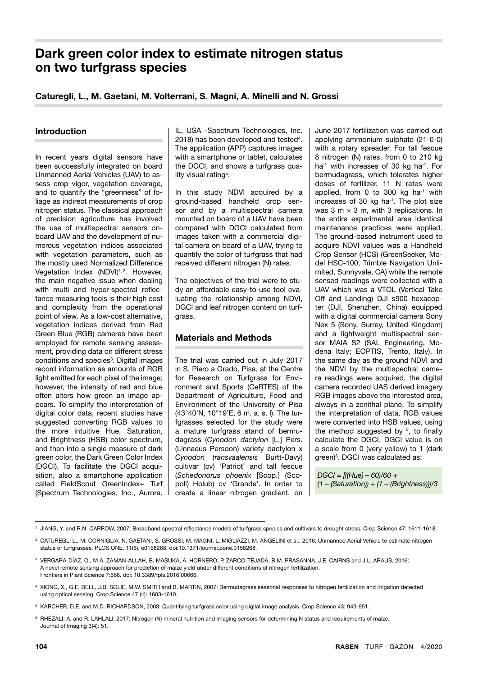# **Dark green color index to estimate nitrogen status on two turfgrass species**

# **Caturegli, L., M. Gaetani, M. Volterrani, S. Magni, A. Minelli and N. Grossi**

## **Introduction**

In recent years digital sensors have been successfully integrated on board Unmanned Aerial Vehicles (UAV) to assess crop vigor, vegetation coverage, and to quantify the "greenness" of foliage as indirect measurements of crop nitrogen status. The classical approach of precision agriculture has involved the use of multispectral sensors onboard UAV and the development of numerous vegetation indices associated with vegetation parameters, such as the mostly used Normalized Difference Vegetation Index (NDVI)<sup>1,2</sup>. However, the main negative issue when dealing with multi and hyper-spectral reflectance measuring tools is their high cost and complexity from the operational point of view. As a low-cost alternative, vegetation indices derived from Red Green Blue (RGB) cameras have been employed for remote sensing assessment, providing data on different stress conditions and species<sup>3</sup>. Digital images record information as amounts of RGB light emitted for each pixel of the image; however, the intensity of red and blue often alters how green an image appears. To simplify the interpretation of digital color data, recent studies have suggested converting RGB values to the more intuitive Hue, Saturation, and Brightness (HSB) color spectrum, and then into a single measure of dark green color, the Dark Green Color Index (DGCI). To facilitate the DGCI acquisition, also a smartphone application called FieldScout GreenIndex+ Turf (Spectrum Technologies, Inc., Aurora,

IL, USA -Spectrum Technologies, Inc. 2018) has been developed and tested<sup>4</sup>. The application (APP) captures images with a smartphone or tablet, calculates the DGCI, and shows a turfgrass quality visual rating<sup>5</sup>.

In this study NDVI acquired by a ground-based handheld crop sensor and by a multispectral camera mounted on board of a UAV have been compared with DGCI calculated from images taken with a commercial digital camera on board of a UAV, trying to quantify the color of turfgrass that had received different nitrogen (N) rates.

The objectives of the trial were to study an affordable easy-to-use tool evaluating the relationship among NDVI, DGCI and leaf nitrogen content on turfgrass.

# **Materials and Methods**

The trial was carried out in July 2017 in S. Piero a Grado, Pisa, at the Centre for Research on Turfgrass for Environment and Sports (CeRTES) of the Department of Agriculture, Food and Environment of the University of Pisa (43°40'N, 10°19'E, 6 m. a. s. l). The turfgrasses selected for the study were a mature turfgrass stand of bermudagrass (*Cynodon dactylon* [L.] Pers. (Linnaeus Persoon) variety dactylon x *Cynodon transvaalensis* Burtt-Davy) cultivar (cv) 'Patriot' and tall fescue (*Schedonorus phoenix* [Scop.] (Scopoli) Holub) cv 'Grande'. In order to create a linear nitrogen gradient, on June 2017 fertilization was carried out applying ammonium sulphate (21-0-0) with a rotary spreader. For tall fescue 8 nitrogen (N) rates, from 0 to 210 kg ha<sup>-1</sup> with increases of 30 kg ha<sup>-1</sup>. For bermudagrass, which tolerates higher doses of fertilizer, 11 N rates were applied, from 0 to 300 kg  $ha^{-1}$  with increases of 30 kg ha<sup>-1</sup>. The plot size was 3 m  $\times$  3 m, with 3 replications. In the entire experimental area identical maintenance practices were applied. The ground-based instrument used to acquire NDVI values was a Handheld Crop Sensor (HCS) (GreenSeeker, Model HSC-100, Trimble Navigation Unlimited, Sunnyvale, CA) while the remote sensed readings were collected with a UAV which was a VTOL (Vertical Take Off and Landing) DJI s900 hexacopter (DJI, Shenzhen, China) equipped with a digital commercial camera Sony Nex 5 (Sony, Surrey, United Kingdom) and a lightweight multispectral sensor MAIA S2 (SAL Engineering, Modena Italy; EOPTIS, Trento, Italy). In the same day as the ground NDVI and the NDVI by the multispectral camera readings were acquired, the digital camera recorded UAS derived imagery RGB images above the interested area, always in a zenithal plane. To simplify the interpretation of data, RGB values were converted into HSB values, using the method suggested by  $5$ , to finally calculate the DGCI. DGCI value is on a scale from 0 (very yellow) to 1 (dark green)<sup>6</sup>. DGCI was calculated as:

*DGCI = [((Hue) – 60)/60 + (1 – (Saturation)) + (1 – (Brightness))]/3*

<sup>1</sup> JIANG, Y. and R.N. CARROW, 2007: Broadband spectral reflectance models of turfgrass species and cultivars to drought stress. Crop Science 47: 1611-1618.

<sup>&</sup>lt;sup>2</sup> CATUREGLI L., M. CORNIGLIA, N. GAETANI, S. GROSSI, M. MAGNI, L. MIGLIAZZI, M. ANGELINI et al., 2016: Unmanned Aerial Vehicle to estimate nitrogen status of turfgrasses. PLOS ONE. 11(6), e0158268. doi:10.1371/journal.pone.0158268.

<sup>3</sup> VERGARA-DÍAZ, O., M.A. ZAMAN-ALLAH, B. MASUKA, A. HORNERO, P. ZARCO-TEJADA, B.M. PRASANNA, J.E. CAIRNS and J.L. ARAUS, 2016: A novel remote sensing approach for prediction of maize yield under different conditions of nitrogen fertilization. Frontiers in Plant Science 7:666. doi: 10.3389/fpls.2016.00666.

<sup>4</sup> XIONG, X., G.E. BELL, J.B. SOLIE, M.W. SMITH and B. MARTIN, 2007: Bermudagrass seasonal responses to nitrogen fertilization and irrigation detected using optical sensing. Crop Science 47 (4): 1603-1610.

<sup>5</sup> KARCHER, D.E. and M.D. RICHARDSON, 2003: Quantifying turfgrass color using digital image analysis. Crop Science 43: 943-951.

<sup>&</sup>lt;sup>6</sup> RHEZALI, A. and R. LAHLALI, 2017: Nitrogen (N) mineral nutrition and imaging sensors for determining N status and requirements of maize. Journal of Imaging 3(4): 51.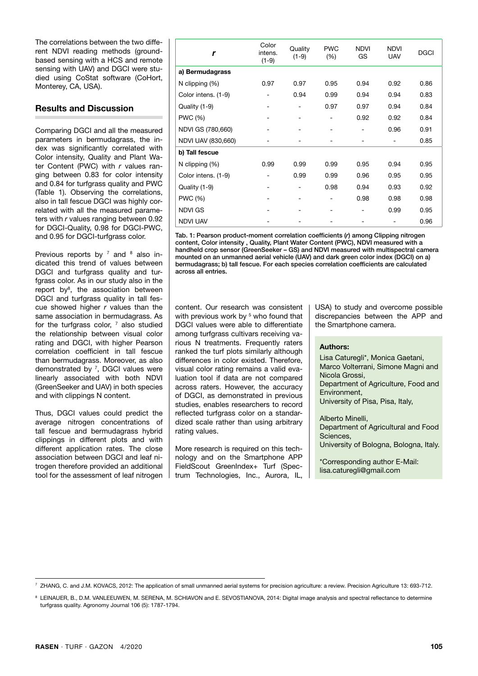The correlations between the two different NDVI reading methods (groundbased sensing with a HCS and remote sensing with UAV) and DGCI were studied using CoStat software (CoHort, Monterey, CA, USA).

# **Results and Discussion**

Comparing DGCI and all the measured parameters in bermudagrass, the index was significantly correlated with Color intensity, Quality and Plant Water Content (PWC) with *r* values ranging between 0.83 for color intensity and 0.84 for turfgrass quality and PWC (Table 1). Observing the correlations, also in tall fescue DGCI was highly correlated with all the measured parameters with *r* values ranging between 0.92 for DGCI-Quality, 0.98 for DGCI-PWC, and 0.95 for DGCI-turfgrass color.

Previous reports by  $^7$  and  $^8$  also indicated this trend of values between DGCI and turfgrass quality and turfgrass color. As in our study also in the report by<sup>8</sup>, the association between DGCI and turfgrass quality in tall fescue showed higher *r* values than the same association in bermudagrass. As for the turfgrass color,  $7$  also studied the relationship between visual color rating and DGCI, with higher Pearson correlation coefficient in tall fescue than bermudagrass. Moreover, as also demonstrated by 7, DGCI values were linearly associated with both NDVI (GreenSeeker and UAV) in both species and with clippings N content.

Thus, DGCI values could predict the average nitrogen concentrations of tall fescue and bermudagrass hybrid clippings in different plots and with different application rates. The close association between DGCI and leaf nitrogen therefore provided an additional tool for the assessment of leaf nitrogen

| r                   | Color<br>intens.<br>$(1-9)$ | Quality<br>$(1-9)$ | <b>PWC</b><br>(% )           | <b>NDVI</b><br>GS | <b>NDVI</b><br><b>UAV</b> | <b>DGCI</b> |
|---------------------|-----------------------------|--------------------|------------------------------|-------------------|---------------------------|-------------|
| a) Bermudagrass     |                             |                    |                              |                   |                           |             |
| N clipping (%)      | 0.97                        | 0.97               | 0.95                         | 0.94              | 0.92                      | 0.86        |
| Color intens. (1-9) |                             | 0.94               | 0.99                         | 0.94              | 0.94                      | 0.83        |
| Quality (1-9)       |                             |                    | 0.97                         | 0.97              | 0.94                      | 0.84        |
| <b>PWC (%)</b>      |                             |                    |                              | 0.92              | 0.92                      | 0.84        |
| NDVI GS (780,660)   |                             |                    | $\qquad \qquad \blacksquare$ | -                 | 0.96                      | 0.91        |
| NDVI UAV (830,660)  |                             |                    |                              |                   |                           | 0.85        |
| b) Tall fescue      |                             |                    |                              |                   |                           |             |
| N clipping $(\%)$   | 0.99                        | 0.99               | 0.99                         | 0.95              | 0.94                      | 0.95        |
| Color intens. (1-9) |                             | 0.99               | 0.99                         | 0.96              | 0.95                      | 0.95        |
| Quality (1-9)       |                             |                    | 0.98                         | 0.94              | 0.93                      | 0.92        |
| <b>PWC (%)</b>      |                             |                    |                              | 0.98              | 0.98                      | 0.98        |
| <b>NDVI GS</b>      |                             |                    |                              |                   | 0.99                      | 0.95        |
| <b>NDVI UAV</b>     |                             |                    |                              |                   |                           | 0.96        |

Tab. 1: Pearson product-moment correlation coefficients (*r*) among Clipping nitrogen content, Color intensity , Quality, Plant Water Content (PWC), NDVI measured with a handheld crop sensor (GreenSeeker – GS) and NDVI measured with multispectral camera mounted on an unmanned aerial vehicle (UAV) and dark green color index (DGCI) on a) bermudagrass; b) tall fescue. For each species correlation coefficients are calculated across all entries.

content. Our research was consistent with previous work by <sup>5</sup> who found that DGCI values were able to differentiate among turfgrass cultivars receiving various N treatments. Frequently raters ranked the turf plots similarly although differences in color existed. Therefore, visual color rating remains a valid evaluation tool if data are not compared across raters. However, the accuracy of DGCI, as demonstrated in previous studies, enables researchers to record reflected turfgrass color on a standardized scale rather than using arbitrary rating values.

More research is required on this technology and on the Smartphone APP FieldScout GreenIndex+ Turf (Spectrum Technologies, Inc., Aurora, IL, USA) to study and overcome possible discrepancies between the APP and the Smartphone camera.

#### **Authors:**

Lisa Caturegli\*, Monica Gaetani, Marco Volterrani, Simone Magni and Nicola Grossi, Department of Agriculture, Food and Environment, University of Pisa, Pisa, Italy,

Alberto Minelli, Department of Agricultural and Food Sciences, University of Bologna, Bologna, Italy.

\*Corresponding author E-Mail: lisa.caturegli@gmail.com

<sup>7</sup> ZHANG, C. and J.M. KOVACS, 2012: The application of small unmanned aerial systems for precision agriculture: a review. Precision Agriculture 13: 693-712.

<sup>&</sup>lt;sup>8</sup> LEINAUER, B., D.M. VANLEEUWEN, M. SERENA, M. SCHIAVON and E. SEVOSTIANOVA, 2014: Digital image analysis and spectral reflectance to determine turfgrass quality. Agronomy Journal 106 (5): 1787-1794.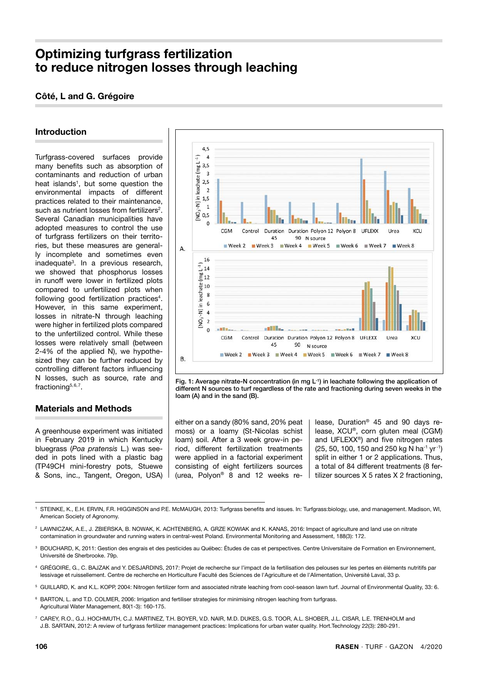# **Optimizing turfgrass fertilization to reduce nitrogen losses through leaching**

# **Côté, L and G. Grégoire**

# **Introduction**

Turfgrass-covered surfaces provide many benefits such as absorption of contaminants and reduction of urban heat islands<sup>1</sup>, but some question the environmental impacts of different practices related to their maintenance, such as nutrient losses from fertilizers<sup>2</sup>. Several Canadian municipalities have adopted measures to control the use of turfarass fertilizers on their territories, but these measures are generally incomplete and sometimes even inadequate3. In a previous research, we showed that phosphorus losses in runoff were lower in fertilized plots compared to unfertilized plots when following good fertilization practices<sup>4</sup>. However, in this same experiment, losses in nitrate-N through leaching were higher in fertilized plots compared to the unfertilized control. While these losses were relatively small (between 2-4% of the applied N), we hypothesized they can be further reduced by controlling different factors influencing N losses, such as source, rate and fractioning<sup>5,6,7</sup>.

# **Materials and Methods**

A greenhouse experiment was initiated in February 2019 in which Kentucky bluegrass (*Poa pratensis* L.) was seeded in pots lined with a plastic bag (TP49CH mini-forestry pots, Stuewe & Sons, inc., Tangent, Oregon, USA)



Fig. 1: Average nitrate-N concentration (in mg L<sup>-1</sup>) in leachate following the application of different N sources to turf regardless of the rate and fractioning during seven weeks in the loam (A) and in the sand (B).

either on a sandy (80% sand, 20% peat moss) or a loamy (St-Nicolas schist loam) soil. After a 3 week grow-in period, different fertilization treatments were applied in a factorial experiment consisting of eight fertilizers sources (urea, Polyon® 8 and 12 weeks release, Duration® 45 and 90 days release, XCU®, corn gluten meal (CGM) and UFLEXX®) and five nitrogen rates  $(25, 50, 100, 150, and 250,$  kg N ha<sup>-1</sup> yr<sup>-1</sup>) split in either 1 or 2 applications. Thus, a total of 84 different treatments (8 fertilizer sources X 5 rates X 2 fractioning,

- <sup>3</sup> BOUCHARD, K, 2011: Gestion des engrais et des pesticides au Québec: Études de cas et perspectives. Centre Universitaire de Formation en Environnement, Université de Sherbrooke. 79p.
- 4 GRÉGOIRE, G., C. BAJZAK and Y. DESJARDINS, 2017: Projet de recherche sur l'impact de la fertilisation des pelouses sur les pertes en éléments nutritifs par lessivage et ruissellement. Centre de recherche en Horticulture Faculté des Sciences de l'Agriculture et de l'Alimentation, Université Laval, 33 p.
- 5 GUILLARD, K. and K.L. KOPP, 2004: Nitrogen fertilizer form and associated nitrate leaching from cool-season lawn turf. Journal of Environmental Quality, 33: 6.
- <sup>6</sup> BARTON, L. and T.D. COLMER, 2006: Irrigation and fertiliser strategies for minimising nitrogen leaching from turfgrass. Agricultural Water Management, 80(1-3): 160-175.
- 7 CAREY, R.O., G.J. HOCHMUTH, C.J. MARTINEZ, T.H. BOYER, V.D. NAIR, M.D. DUKES, G.S. TOOR, A.L. SHOBER, J.L. CISAR, L.E. TRENHOLM and J.B. SARTAIN, 2012: A review of turfgrass fertilizer management practices: Implications for urban water quality. Hort.Technology 22(3): 280-291.

STEINKE, K., E.H. ERVIN, F.R. HIGGINSON and P.E. McMAUGH, 2013: Turfgrass benefits and issues. In: Turfgrass:biology, use, and management. Madison, WI, American Society of Agronomy.

<sup>&</sup>lt;sup>2</sup> LAWNICZAK, A.E., J. ZBIERSKA, B. NOWAK, K. ACHTENBERG, A. GRZE KOWIAK and K. KANAS, 2016: Impact of agriculture and land use on nitrate contamination in groundwater and running waters in central-west Poland. Environmental Monitoring and Assessment, 188(3): 172.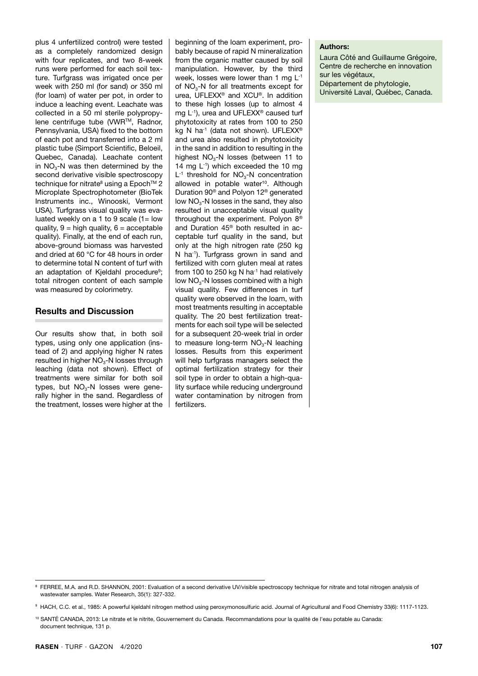plus 4 unfertilized control) were tested as a completely randomized design with four replicates, and two 8-week runs were performed for each soil texture. Turfgrass was irrigated once per week with 250 ml (for sand) or 350 ml (for loam) of water per pot, in order to induce a leaching event. Leachate was collected in a 50 ml sterile polypropylene centrifuge tube (VWRTM, Radnor, Pennsylvania, USA) fixed to the bottom of each pot and transferred into a 2 ml plastic tube (Simport Scientific, Beloeil, Quebec, Canada). Leachate content in  $NO<sub>3</sub>-N$  was then determined by the second derivative visible spectroscopy technique for nitrate<sup>8</sup> using a Epoch<sup>TM</sup> 2 Microplate Spectrophotometer (BioTek Instruments inc., Winooski, Vermont USA). Turfgrass visual quality was evaluated weekly on a 1 to 9 scale (1= low quality,  $9 =$  high quality,  $6 =$  acceptable quality). Finally, at the end of each run, above-ground biomass was harvested and dried at 60 °C for 48 hours in order to determine total N content of turf with an adaptation of Kjeldahl procedure<sup>9</sup>; total nitrogen content of each sample was measured by colorimetry.

# **Results and Discussion**

Our results show that, in both soil types, using only one application (instead of 2) and applying higher N rates resulted in higher  $NO<sub>3</sub>-N$  losses through leaching (data not shown). Effect of treatments were similar for both soil types, but  $NO<sub>3</sub>$ -N losses were generally higher in the sand. Regardless of the treatment, losses were higher at the

beginning of the loam experiment, probably because of rapid N mineralization from the organic matter caused by soil manipulation. However, by the third week, losses were lower than 1 mg L-1 of NO<sub>3</sub>-N for all treatments except for urea, UFLEXX® and XCU®. In addition to these high losses (up to almost 4 mg L-1), urea and UFLEXX® caused turf phytotoxicity at rates from 100 to 250 kg N ha<sup>-1</sup> (data not shown). UFLEXX<sup>®</sup> and urea also resulted in phytotoxicity in the sand in addition to resulting in the highest  $NO<sub>3</sub>$ -N losses (between 11 to 14 mg  $L^{-1}$ ) which exceeded the 10 mg  $L^{-1}$  threshold for  $NO<sub>3</sub>-N$  concentration allowed in potable water<sup>10</sup>. Although Duration 90® and Polyon 12® generated low  $NO<sub>3</sub>-N$  losses in the sand, they also resulted in unacceptable visual quality throughout the experiment. Polyon 8® and Duration 45® both resulted in acceptable turf quality in the sand, but only at the high nitrogen rate (250 kg N ha<sup>-1</sup>). Turfgrass grown in sand and fertilized with corn gluten meal at rates from 100 to 250 kg N ha<sup>-1</sup> had relatively low  $NO<sub>3</sub>-N$  losses combined with a high visual quality. Few differences in turf quality were observed in the loam, with most treatments resulting in acceptable quality. The 20 best fertilization treatments for each soil type will be selected for a subsequent 20-week trial in order to measure long-term  $NO<sub>3</sub>-N$  leaching losses. Results from this experiment will help turfgrass managers select the optimal fertilization strategy for their soil type in order to obtain a high-quality surface while reducing underground water contamination by nitrogen from fertilizers.

#### **Authors:**

Laura Côté and Guillaume Grégoire, Centre de recherche en innovation sur les végétaux, Département de phytologie, Université Laval, Québec, Canada.

<sup>8</sup> FERREE, M.A. and R.D. SHANNON, 2001: Evaluation of a second derivative UV/visible spectroscopy technique for nitrate and total nitrogen analysis of wastewater samples. Water Research, 35(1): 327-332.

<sup>9</sup> HACH, C.C. et al., 1985: A powerful kjeldahl nitrogen method using peroxymonosulfuric acid. Journal of Agricultural and Food Chemistry 33(6): 1117-1123.

<sup>10</sup> SANTÉ CANADA, 2013: Le nitrate et le nitrite, Gouvernement du Canada. Recommandations pour la qualité de l'eau potable au Canada: document technique, 131 p.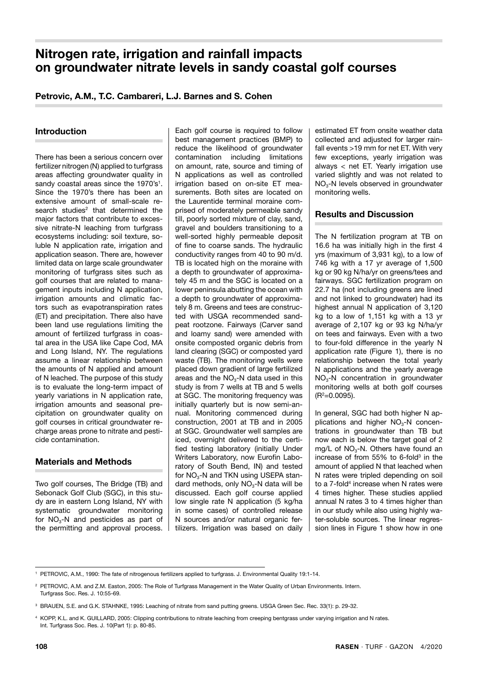# **Nitrogen rate, irrigation and rainfall impacts on groundwater nitrate levels in sandy coastal golf courses**

# **Petrovic, A.M., T.C. Cambareri, L.J. Barnes and S. Cohen**

## **Introduction**

There has been a serious concern over fertilizer nitrogen (N) applied to turfgrass areas affecting groundwater quality in sandy coastal areas since the 1970's<sup>1</sup>. Since the 1970's there has been an extensive amount of small-scale research studies<sup>2</sup> that determined the major factors that contribute to excessive nitrate-N leaching from turfgrass ecosystems including: soil texture, soluble N application rate, irrigation and application season. There are, however limited data on large scale groundwater monitoring of turfgrass sites such as golf courses that are related to management inputs including N application, irrigation amounts and climatic factors such as evapotranspiration rates (ET) and precipitation. There also have been land use regulations limiting the amount of fertilized turfgrass in coastal area in the USA like Cape Cod, MA and Long Island, NY. The regulations assume a linear relationship between the amounts of N applied and amount of N leached. The purpose of this study is to evaluate the long-term impact of yearly variations in N application rate, irrigation amounts and seasonal precipitation on groundwater quality on golf courses in critical groundwater recharge areas prone to nitrate and pesticide contamination.

# **Materials and Methods**

Two golf courses, The Bridge (TB) and Sebonack Golf Club (SGC), in this study are in eastern Long Island, NY with systematic groundwater monitoring for  $NO<sub>3</sub>-N$  and pesticides as part of the permitting and approval process. Each golf course is required to follow best management practices (BMP) to reduce the likelihood of groundwater contamination including limitations on amount, rate, source and timing of N applications as well as controlled irrigation based on on-site ET measurements. Both sites are located on the Laurentide terminal moraine comprised of moderately permeable sandy till, poorly sorted mixture of clay, sand, gravel and boulders transitioning to a well-sorted highly permeable deposit of fine to coarse sands. The hydraulic conductivity ranges from 40 to 90 m/d. TB is located high on the moraine with a depth to groundwater of approximately 45 m and the SGC is located on a lower peninsula abutting the ocean with a depth to groundwater of approximately 8 m. Greens and tees are constructed with USGA recommended sandpeat rootzone. Fairways (Carver sand and loamy sand) were amended with onsite composted organic debris from land clearing (SGC) or composted yard waste (TB). The monitoring wells were placed down gradient of large fertilized areas and the  $NO<sub>3</sub>$ -N data used in this study is from 7 wells at TB and 5 wells at SGC. The monitoring frequency was initially quarterly but is now semi-annual. Monitoring commenced during construction, 2001 at TB and in 2005 at SGC. Groundwater well samples are iced, overnight delivered to the certified testing laboratory (initially Under Writers Laboratory, now Eurofin Laboratory of South Bend, IN) and tested for  $NO<sub>3</sub>$ -N and TKN using USEPA standard methods, only  $NO<sub>3</sub>$ -N data will be discussed. Each golf course applied low single rate N application (5 kg/ha in some cases) of controlled release N sources and/or natural organic fertilizers. Irrigation was based on daily estimated ET from onsite weather data collected and adjusted for larger rainfall events >19 mm for net ET. With very few exceptions, yearly irrigation was always < net ET. Yearly irrigation use varied slightly and was not related to  $NO<sub>3</sub>$ -N levels observed in groundwater monitoring wells.

# **Results and Discussion**

The N fertilization program at TB on 16.6 ha was initially high in the first 4 yrs (maximum of 3,931 kg), to a low of 746 kg with a 17 yr average of 1,500 kg or 90 kg N/ha/yr on greens/tees and fairways. SGC fertilization program on 22.7 ha (not including greens are lined and not linked to groundwater) had its highest annual N application of 3,120 kg to a low of 1,151 kg with a 13 yr average of 2,107 kg or 93 kg N/ha/yr on tees and fairways. Even with a two to four-fold difference in the yearly N application rate (Figure 1), there is no relationship between the total yearly N applications and the yearly average NO3-N concentration in groundwater monitoring wells at both golf courses  $(R<sup>2</sup>=0.0095)$ .

In general, SGC had both higher N applications and higher  $NO<sub>3</sub>-N$  concentrations in groundwater than TB but now each is below the target goal of 2 mg/L of  $NO<sub>3</sub>-N$ . Others have found an increase of from  $55\%$  to 6-fold<sup>3</sup> in the amount of applied N that leached when N rates were tripled depending on soil to a 7-fold<sup>4</sup> increase when N rates were 4 times higher. These studies applied annual N rates 3 to 4 times higher than in our study while also using highly water-soluble sources. The linear regression lines in Figure 1 show how in one

<sup>1</sup> PETROVIC, A.M., 1990: The fate of nitrogenous fertilizers applied to turfgrass. J. Environmental Quality 19:1-14.

<sup>&</sup>lt;sup>2</sup> PETROVIC, A.M. and Z.M. Easton, 2005: The Role of Turfgrass Management in the Water Quality of Urban Environments. Intern. Turfgrass Soc. Res. J. 10:55-69.

<sup>3</sup> BRAUEN, S.E. and G.K. STAHNKE, 1995: Leaching of nitrate from sand putting greens. USGA Green Sec. Rec. 33(1): p. 29-32.

<sup>4</sup> KOPP, K.L. and K. GUILLARD, 2005: Clipping contributions to nitrate leaching from creeping bentgrass under varying irrigation and N rates. Int. Turfgrass Soc. Res. J. 10(Part 1): p. 80-85.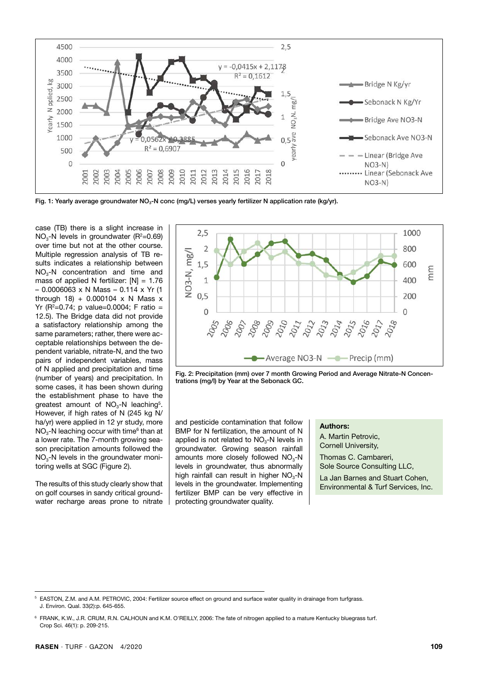

Fig. 1: Yearly average groundwater NO<sub>3</sub>-N conc (mg/L) verses yearly fertilizer N application rate (kg/yr).

case (TB) there is a slight increase in  $NO<sub>3</sub>-N$  levels in groundwater ( $R<sup>2</sup>=0.69$ ) over time but not at the other course. Multiple regression analysis of TB results indicates a relationship between  $NO<sub>3</sub> - N$  concentration and time and mass of applied N fertilizer:  $[N] = 1.76$ – 0.0006063 x N Mass – 0.114 x Yr (1 through 18) + 0.000104  $\times$  N Mass  $\times$ Yr ( $R^2 = 0.74$ ; p value=0.0004; F ratio = 12.5). The Bridge data did not provide a satisfactory relationship among the same parameters; rather, there were acceptable relationships between the dependent variable, nitrate-N, and the two pairs of independent variables, mass of N applied and precipitation and time (number of years) and precipitation. In some cases, it has been shown during the establishment phase to have the greatest amount of  $NO<sub>3</sub>$ -N leaching<sup>5</sup>. However, if high rates of N (245 kg N/ ha/yr) were applied in 12 yr study, more  $NO<sub>3</sub>$ -N leaching occur with time<sup>6</sup> than at a lower rate. The 7-month growing season precipitation amounts followed the NO3-N levels in the groundwater monitoring wells at SGC (Figure 2).

The results of this study clearly show that on golf courses in sandy critical groundwater recharge areas prone to nitrate



Fig. 2: Precipitation (mm) over 7 month Growing Period and Average Nitrate-N Concentrations (mg/l) by Year at the Sebonack GC.

and pesticide contamination that follow BMP for N fertilization, the amount of N applied is not related to  $NO<sub>3</sub>-N$  levels in groundwater. Growing season rainfall amounts more closely followed  $NO<sub>3</sub>-N$ levels in groundwater, thus abnormally high rainfall can result in higher  $NO<sub>3</sub>-N$ levels in the groundwater. Implementing fertilizer BMP can be very effective in protecting groundwater quality.

#### **Authors:**

A. Martin Petrovic, Cornell University, Thomas C. Cambareri, Sole Source Consulting LLC,

La Jan Barnes and Stuart Cohen, Environmental & Turf Services, Inc.

<sup>5</sup> EASTON, Z.M. and A.M. PETROVIC, 2004: Fertilizer source effect on ground and surface water quality in drainage from turfgrass. J. Environ. Qual. 33(2):p. 645-655.

<sup>6</sup> FRANK, K.W., J.R. CRUM, R.N. CALHOUN and K.M. O'REILLY, 2006: The fate of nitrogen applied to a mature Kentucky bluegrass turf. Crop Sci. 46(1): p. 209-215.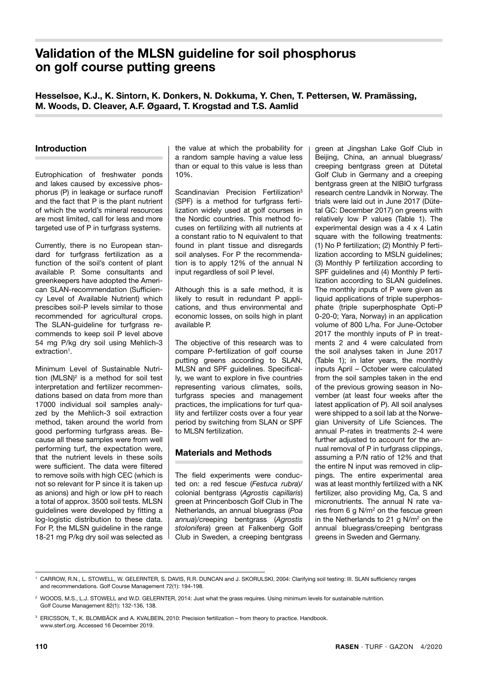# **Validation of the MLSN guideline for soil phosphorus on golf course putting greens**

**Hesselsøe, K.J., K. Sintorn, K. Donkers, N. Dokkuma, Y. Chen, T. Pettersen, W. Pramässing, M. Woods, D. Cleaver, A.F. Øgaard, T. Krogstad and T.S. Aamlid**

## **Introduction**

Eutrophication of freshwater ponds and lakes caused by excessive phosphorus (P) in leakage or surface runoff and the fact that P is the plant nutrient of which the world's mineral resources are most limited, call for less and more targeted use of P in turfgrass systems.

Currently, there is no European standard for turfgrass fertilization as a function of the soil's content of plant available P. Some consultants and greenkeepers have adopted the American SLAN-recommendation (Sufficiency Level of Available Nutrient) which prescibes soil-P levels similar to those recommended for agricultural crops. The SLAN-guideline for turfgrass recommends to keep soil P level above 54 mg P/kg dry soil using Mehlich-3 extraction<sup>1</sup>.

Minimum Level of Sustainable Nutrition (MLSN)<sup>2</sup> is a method for soil test interpretation and fertilizer recommendations based on data from more than 17000 individual soil samples analyzed by the Mehlich-3 soil extraction method, taken around the world from good performing turfgrass areas. Because all these samples were from well performing turf, the expectation were, that the nutrient levels in these soils were sufficient. The data were filtered to remove soils with high CEC (which is not so relevant for P since it is taken up as anions) and high or low pH to reach a total of approx. 3500 soil tests. MLSN guidelines were developed by fitting a log-logistic distribution to these data. For P, the MLSN guideline in the range 18-21 mg P/kg dry soil was selected as the value at which the probability for a random sample having a value less than or equal to this value is less than 10%.

Scandinavian Precision Fertilization<sup>3</sup> (SPF) is a method for turfgrass fertilization widely used at golf courses in the Nordic countries. This method focuses on fertilizing with all nutrients at a constant ratio to N equivalent to that found in plant tissue and disregards soil analyses. For P the recommendation is to apply 12% of the annual N input regardless of soil P level.

Although this is a safe method, it is likely to result in redundant P applications, and thus environmental and economic losses, on soils high in plant available P.

The objective of this research was to compare P-fertilization of golf course putting greens according to SLAN, MLSN and SPF guidelines. Specifically, we want to explore in five countries representing various climates, soils, turfgrass species and management practices, the implications for turf quality and fertilizer costs over a four year period by switching from SLAN or SPF to MLSN fertilization.

# **Materials and Methods**

The field experiments were conducted on: a red fescue (*Festuca rubra*)/ colonial bentgrass (*Agrostis capillaris*) green at Princenbosch Golf Club in The Netherlands, an annual bluegrass (*Poa annua*)/creeping bentgrass (*Agrostis stolonifera*) green at Falkenberg Golf Club in Sweden, a creeping bentgrass green at Jingshan Lake Golf Club in Beijing, China, an annual bluegrass/ creeping bentgrass green at Dütetal Golf Club in Germany and a creeping bentgrass green at the NIBIO turfgrass research centre Landvik in Norway. The trials were laid out in June 2017 (Dütetal GC: December 2017) on greens with relatively low P values (Table 1). The experimental design was a 4 x 4 Latin square with the following treatments: (1) No P fertilization; (2) Monthly P fertilization according to MSLN guidelines; (3) Monthly P fertilization according to SPF guidelines and (4) Monthly P fertilization according to SLAN guidelines. The monthly inputs of P were given as liquid applications of triple superphosphate (triple superphosphate Opti-P 0-20-0; Yara, Norway) in an application volume of 800 L/ha. For June-October 2017 the monthly inputs of P in treatments 2 and 4 were calculated from the soil analyses taken in June 2017 (Table 1); in later years, the monthly inputs April – October were calculated from the soil samples taken in the end of the previous growing season in November (at least four weeks after the latest application of P). All soil analyses were shipped to a soil lab at the Norwegian University of Life Sciences. The annual P-rates in treatments 2-4 were further adjusted to account for the annual removal of P in turfgrass clippings. assuming a P/N ratio of 12% and that the entire N input was removed in clippings. The entire experimental area was at least monthly fertilized with a NK fertilizer, also providing Mg, Ca, S and micronutrients. The annual N rate varies from 6 g N/m2 on the fescue green in the Netherlands to 21 g N/m<sup>2</sup> on the annual bluegrass/creeping bentgrass greens in Sweden and Germany.

<sup>1</sup> CARROW, R.N., L. STOWELL, W. GELERNTER, S. DAVIS, R.R. DUNCAN and J. SKORULSKI, 2004: Clarifying soil testing: III. SLAN sufficiency ranges and recommendations. Golf Course Management 72(1): 194-198.

<sup>&</sup>lt;sup>2</sup> WOODS, M.S., L.J. STOWELL and W.D. GELERNTER, 2014: Just what the grass requires. Using minimum levels for sustainable nutrition. Golf Course Management 82(1): 132-136, 138.

<sup>3</sup> ERICSSON, T., K. BLOMBÄCK and A. KVALBEIN, 2010: Precision fertilization – from theory to practice. Handbook. www.sterf.org. Accessed 16 December 2019.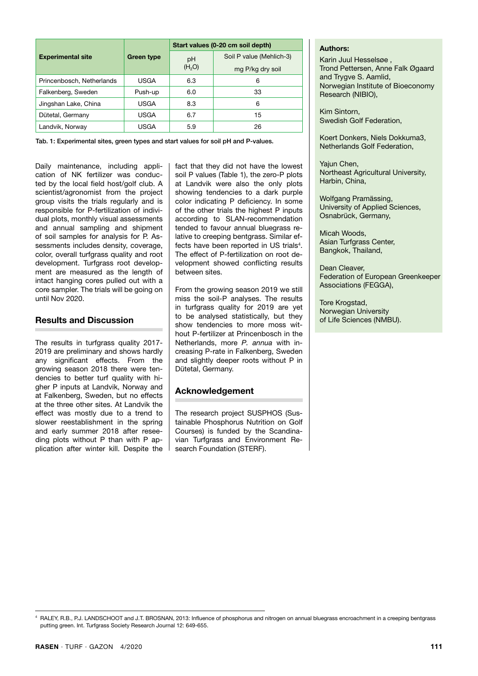|                           |                    | Start values (0-20 cm soil depth) |                          |  |  |
|---------------------------|--------------------|-----------------------------------|--------------------------|--|--|
| <b>Experimental site</b>  | Green type         | pH                                | Soil P value (Mehlich-3) |  |  |
|                           | (H <sub>2</sub> O) |                                   | mg P/kg dry soil         |  |  |
| Princenbosch, Netherlands | <b>USGA</b>        | 6.3                               | 6                        |  |  |
| Falkenberg, Sweden        | Push-up            | 6.0                               | 33                       |  |  |
| Jingshan Lake, China      | <b>USGA</b>        | 8.3                               | 6                        |  |  |
| Dütetal, Germany          | USGA               | 6.7                               | 15                       |  |  |
| Landvik, Norway           | <b>USGA</b>        | 5.9                               | 26                       |  |  |

Tab. 1: Experimental sites, green types and start values for soil pH and P-values.

Daily maintenance, including application of NK fertilizer was conducted by the local field host/golf club. A scientist/agronomist from the project group visits the trials regularly and is responsible for P-fertilization of individual plots, monthly visual assessments and annual sampling and shipment of soil samples for analysis for P. Assessments includes density, coverage, color, overall turfgrass quality and root development. Turfgrass root development are measured as the length of intact hanging cores pulled out with a core sampler. The trials will be going on until Nov 2020.

#### **Results and Discussion**

The results in turfgrass quality 2017- 2019 are preliminary and shows hardly any significant effects. From the growing season 2018 there were tendencies to better turf quality with higher P inputs at Landvik, Norway and at Falkenberg, Sweden, but no effects at the three other sites. At Landvik the effect was mostly due to a trend to slower reestablishment in the spring and early summer 2018 after reseeding plots without P than with P application after winter kill. Despite the

fact that they did not have the lowest soil P values (Table 1), the zero-P plots at Landvik were also the only plots showing tendencies to a dark purple color indicating P deficiency. In some of the other trials the highest P inputs according to SLAN-recommendation tended to favour annual bluegrass relative to creeping bentgrass. Similar effects have been reported in US trials<sup>4</sup>. The effect of P-fertilization on root development showed conflicting results between sites.

From the growing season 2019 we still miss the soil-P analyses. The results in turfgrass quality for 2019 are yet to be analysed statistically, but they show tendencies to more moss without P-fertilizer at Princenbosch in the Netherlands, more *P. annua* with increasing P-rate in Falkenberg, Sweden and slightly deeper roots without P in Dütetal, Germany.

# **Acknowledgement**

The research project SUSPHOS (Sustainable Phosphorus Nutrition on Golf Courses) is funded by the Scandinavian Turfgrass and Environment Research Foundation (STERF).

## **Authors:**

Karin Juul Hesselsøe , Trond Pettersen, Anne Falk Øgaard and Trygve S. Aamlid, Norwegian Institute of Bioeconomy Research (NIBIO),

Kim Sintorn, Swedish Golf Federation,

Koert Donkers, Niels Dokkuma3, Netherlands Golf Federation,

Yajun Chen, Northeast Agricultural University, Harbin, China,

Wolfgang Pramässing, University of Applied Sciences, Osnabrück, Germany,

Micah Woods, Asian Turfgrass Center, Bangkok, Thailand,

Dean Cleaver, Federation of European Greenkeeper Associations (FEGGA),

Tore Krogstad, Norwegian University of Life Sciences (NMBU).

<sup>4</sup> RALEY, R.B., P.J. LANDSCHOOT and J.T. BROSNAN, 2013: Influence of phosphorus and nitrogen on annual bluegrass encroachment in a creeping bentgrass putting green. Int. Turfgrass Society Research Journal 12: 649-655.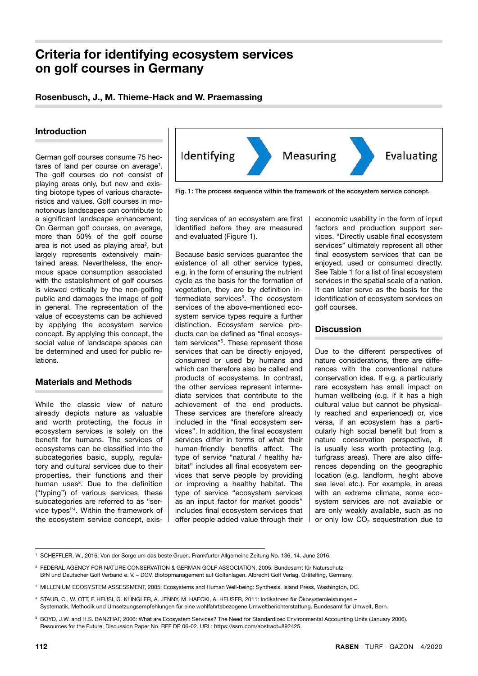# **Criteria for identifying ecosystem services on golf courses in Germany**

# **Rosenbusch, J., M. Thieme-Hack and W. Praemassing**

### **Introduction**

German golf courses consume 75 hectares of land per course on average<sup>1</sup>. The golf courses do not consist of playing areas only, but new and existing biotope types of various characteristics and values. Golf courses in monotonous landscapes can contribute to a significant landscape enhancement. On German golf courses, on average, more than 50% of the golf course area is not used as playing area<sup>2</sup>, but largely represents extensively maintained areas. Nevertheless, the enormous space consumption associated with the establishment of golf courses is viewed critically by the non-golfing public and damages the image of golf in general. The representation of the value of ecosystems can be achieved by applying the ecosystem service concept. By applying this concept, the social value of landscape spaces can be determined and used for public relations.

# **Materials and Methods**

While the classic view of nature already depicts nature as valuable and worth protecting, the focus in ecosystem services is solely on the benefit for humans. The services of ecosystems can be classified into the subcategories basic, supply, regulatory and cultural services due to their properties, their functions and their human uses<sup>3</sup>. Due to the definition ("typing") of various services, these subcategories are referred to as "service types"4. Within the framework of the ecosystem service concept, exis-



Fig. 1: The process sequence within the framework of the ecosystem service concept.

ting services of an ecosystem are first identified before they are measured and evaluated (Figure 1).

Because basic services guarantee the existence of all other service types, e.g. in the form of ensuring the nutrient cycle as the basis for the formation of vegetation, they are by definition intermediate services<sup>5</sup>. The ecosystem services of the above-mentioned ecosystem service types require a further distinction. Ecosystem service products can be defined as "final ecosystem services"5. These represent those services that can be directly enjoyed. consumed or used by humans and which can therefore also be called end products of ecosystems. In contrast, the other services represent intermediate services that contribute to the achievement of the end products. These services are therefore already included in the "final ecosystem services". In addition, the final ecosystem services differ in terms of what their human-friendly benefits affect. The type of service "natural / healthy habitat" includes all final ecosystem services that serve people by providing or improving a healthy habitat. The type of service "ecosystem services as an input factor for market goods" includes final ecosystem services that offer people added value through their economic usability in the form of input factors and production support services. "Directly usable final ecosystem services" ultimately represent all other final ecosystem services that can be enjoyed, used or consumed directly. See Table 1 for a list of final ecosystem services in the spatial scale of a nation. It can later serve as the basis for the identification of ecosystem services on golf courses.

#### **Discussion**

Due to the different perspectives of nature considerations, there are differences with the conventional nature conservation idea. If e.g. a particularly rare ecosystem has small impact on human wellbeing (e.g. if it has a high cultural value but cannot be physically reached and experienced) or, vice versa, if an ecosystem has a particularly high social benefit but from a nature conservation perspective, it is usually less worth protecting (e.g. turfgrass areas). There are also differences depending on the geographic location (e.g. landform, height above sea level etc.). For example, in areas with an extreme climate, some ecosystem services are not available or are only weakly available, such as no or only low  $CO<sub>2</sub>$  sequestration due to

<sup>1</sup> SCHEFFLER, W., 2016: Von der Sorge um das beste Gruen. Frankfurter Allgemeine Zeitung No. 136, 14. June 2016.

<sup>2</sup> FEDERAL AGENCY FOR NATURE CONSERVATION & GERMAN GOLF ASSOCIATION, 2005: Bundesamt für Naturschutz – BfN und Deutscher Golf Verband e. V. – DGV. Biotopmanagement auf Golfanlagen. Albrecht Golf Verlag, Gräfelfing, Germany.

<sup>3</sup> MILLENIUM ECOSYSTEM ASSESSMENT, 2005: Ecosystems and Human Well-being: Synthesis. Island Press, Washington, DC.

<sup>4</sup> STAUB, C., W. OTT, F. HEUSI, G. KLINGLER, A. JENNY, M. HAECKI, A. HEUSER, 2011: Indikatoren für Ökosystemleistungen – Systematik, Methodik und Umsetzungsempfehlungen für eine wohlfahrtsbezogene Umweltberichterstattung. Bundesamt für Umwelt, Bern.

<sup>5</sup> BOYD, J.W. and H.S. BANZHAF, 2006: What are Ecosystem Services? The Need for Standardized Environmental Accounting Units (January 2006). Resources for the Future, Discussion Paper No. RFF DP 06-02. URL: https://ssrn.com/abstract=892425.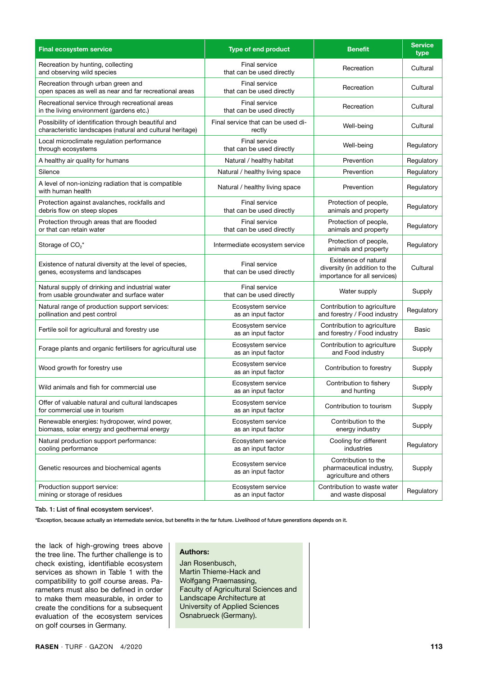| <b>Final ecosystem service</b>                                                                                   | Type of end product                               | <b>Benefit</b>                                                                        | <b>Service</b><br>type |
|------------------------------------------------------------------------------------------------------------------|---------------------------------------------------|---------------------------------------------------------------------------------------|------------------------|
| Recreation by hunting, collecting<br>and observing wild species                                                  | <b>Final service</b><br>that can be used directly | Recreation                                                                            | Cultural               |
| Recreation through urban green and<br>open spaces as well as near and far recreational areas                     | <b>Final service</b><br>that can be used directly | Recreation                                                                            | Cultural               |
| Recreational service through recreational areas<br>in the living environment (gardens etc.)                      | <b>Final service</b><br>that can be used directly | Recreation                                                                            | Cultural               |
| Possibility of identification through beautiful and<br>characteristic landscapes (natural and cultural heritage) | Final service that can be used di-<br>rectly      | Well-being                                                                            | Cultural               |
| Local microclimate regulation performance<br>through ecosystems                                                  | Final service<br>that can be used directly        | Well-being                                                                            | Regulatory             |
| A healthy air quality for humans                                                                                 | Natural / healthy habitat                         | Prevention                                                                            | Regulatory             |
| Silence                                                                                                          | Natural / healthy living space                    | Prevention                                                                            | Regulatory             |
| A level of non-ionizing radiation that is compatible<br>with human health                                        | Natural / healthy living space                    | Prevention                                                                            | Regulatory             |
| Protection against avalanches, rockfalls and<br>debris flow on steep slopes                                      | <b>Final service</b><br>that can be used directly | Protection of people,<br>animals and property                                         | Regulatory             |
| Protection through areas that are flooded<br>or that can retain water                                            | <b>Final service</b><br>that can be used directly | Protection of people,<br>animals and property                                         | Regulatory             |
| Storage of CO <sub>2</sub> *                                                                                     | Intermediate ecosystem service                    | Protection of people,<br>animals and property                                         | Regulatory             |
| Existence of natural diversity at the level of species,<br>genes, ecosystems and landscapes                      | Final service<br>that can be used directly        | Existence of natural<br>diversity (in addition to the<br>importance for all services) | Cultural               |
| Natural supply of drinking and industrial water<br>from usable groundwater and surface water                     | <b>Final service</b><br>that can be used directly | Water supply                                                                          | Supply                 |
| Natural range of production support services:<br>pollination and pest control                                    | Ecosystem service<br>as an input factor           | Contribution to agriculture<br>and forestry / Food industry                           | Regulatory             |
| Fertile soil for agricultural and forestry use                                                                   | Ecosystem service<br>as an input factor           | Contribution to agriculture<br>and forestry / Food industry                           | Basic                  |
| Forage plants and organic fertilisers for agricultural use                                                       | Ecosystem service<br>as an input factor           | Contribution to agriculture<br>and Food industry                                      | Supply                 |
| Wood growth for forestry use                                                                                     | Ecosystem service<br>as an input factor           | Contribution to forestry                                                              | Supply                 |
| Wild animals and fish for commercial use                                                                         | Ecosystem service<br>as an input factor           | Contribution to fishery<br>and hunting                                                | Supply                 |
| Offer of valuable natural and cultural landscapes<br>for commercial use in tourism                               | Ecosystem service<br>as an input factor           | Contribution to tourism                                                               | Supply                 |
| Renewable energies: hydropower, wind power,<br>biomass, solar energy and geothermal energy                       | Ecosystem service<br>as an input factor           | Contribution to the<br>energy industry                                                | Supply                 |
| Natural production support performance:<br>cooling performance                                                   | Ecosystem service<br>as an input factor           | Cooling for different<br>industries                                                   | Regulatory             |
| Genetic resources and biochemical agents                                                                         | Ecosystem service<br>as an input factor           | Contribution to the<br>pharmaceutical industry,<br>agriculture and others             | Supply                 |
| Production support service:<br>mining or storage of residues                                                     | Ecosystem service<br>as an input factor           | Contribution to waste water<br>and waste disposal                                     | Regulatory             |

Tab. 1: List of final ecosystem services<sup>4</sup>.

\*Exception, because actually an intermediate service, but benefits in the far future. Livelihood of future generations depends on it.

the lack of high-growing trees above the tree line. The further challenge is to check existing, identifiable ecosystem services as shown in Table 1 with the compatibility to golf course areas. Parameters must also be defined in order to make them measurable, in order to create the conditions for a subsequent evaluation of the ecosystem services on golf courses in Germany.

#### **Authors:**

Jan Rosenbusch, Martin Thieme-Hack and Wolfgang Praemassing, Faculty of Agricultural Sciences and Landscape Architecture at University of Applied Sciences Osnabrueck (Germany).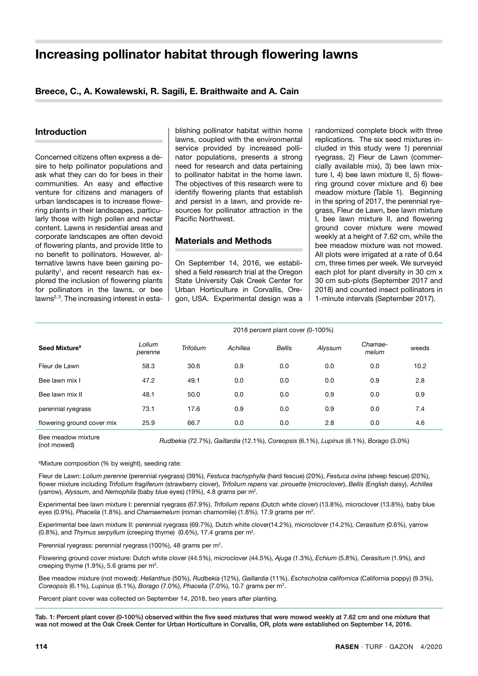# **Increasing pollinator habitat through flowering lawns**

# **Breece, C., A. Kowalewski, R. Sagili, E. Braithwaite and A. Cain**

#### **Introduction**

Concerned citizens often express a desire to help pollinator populations and ask what they can do for bees in their communities. An easy and effective venture for citizens and managers of urban landscapes is to increase flowering plants in their landscapes, particularly those with high pollen and nectar content. Lawns in residential areas and corporate landscapes are often devoid of flowering plants, and provide little to no benefit to pollinators. However, alternative lawns have been gaining popularity<sup>1</sup>, and recent research has explored the inclusion of flowering plants for pollinators in the lawns, or bee lawns<sup>2,3</sup>. The increasing interest in esta-

blishing pollinator habitat within home lawns, coupled with the environmental service provided by increased pollinator populations, presents a strong need for research and data pertaining to pollinator habitat in the home lawn. The objectives of this research were to identify flowering plants that establish and persist in a lawn, and provide resources for pollinator attraction in the Pacific Northwest.

#### **Materials and Methods**

On September 14, 2016, we established a field research trial at the Oregon State University Oak Creek Center for Urban Horticulture in Corvallis, Oregon, USA. Experimental design was a randomized complete block with three replications. The six seed mixtures included in this study were 1) perennial ryegrass, 2) Fleur de Lawn (commercially available mix), 3) bee lawn mixture I, 4) bee lawn mixture II, 5) flowering ground cover mixture and 6) bee meadow mixture (Table 1). Beginning in the spring of 2017, the perennial ryegrass, Fleur de Lawn, bee lawn mixture I, bee lawn mixture II, and flowering ground cover mixture were mowed weekly at a height of 7.62 cm, while the bee meadow mixture was not mowed. All plots were irrigated at a rate of 0.64 cm, three times per week. We surveyed each plot for plant diversity in 30 cm x 30 cm sub-plots (September 2017 and 2018) and counted insect pollinators in 1-minute intervals (September 2017).

|                            | 2018 percent plant cover (0-100%) |                  |          |               |         |                  |       |
|----------------------------|-----------------------------------|------------------|----------|---------------|---------|------------------|-------|
| Seed Mixture <sup>¥</sup>  | Lolium<br>perenne                 | <b>Trifolium</b> | Achillea | <b>Bellis</b> | Alyssum | Chamae-<br>melum | weeds |
| Fleur de Lawn              | 58.3                              | 30.6             | 0.9      | 0.0           | 0.0     | 0.0              | 10.2  |
| Bee lawn mix I             | 47.2                              | 49.1             | 0.0      | 0.0           | 0.0     | 0.9              | 2.8   |
| Bee lawn mix II            | 48.1                              | 50.0             | 0.0      | 0.0           | 0.9     | 0.0              | 0.9   |
| perennial ryegrass         | 73.1                              | 17.6             | 0.9      | 0.0           | 0.9     | 0.0              | 7.4   |
| flowering ground cover mix | 25.9                              | 66.7             | 0.0      | 0.0           | 2.8     | 0.0              | 4.6   |

Bee meadow mixture (not mowed) *Rudbekia* (72.7%), *Gaillardia* (12.1%), *Coreopsis* (6.1%), *Lupinus* (6.1%), *Borago* (3.0%)

¥Mixture composition (% by weight), seeding rate:

Fleur de Lawn: *Lolium perenne* (perennial ryegrass) (39%), *Festuca trachyphylla* (hard fescue) (20%), *Festuca ovina* (sheep fescue) (20%), flower mixture including *Trifolium fragiferum* (strawberry clover), *Trifolium repens* var. *pirouette* (microclover), *Bellis* (English daisy), *Achillea* (yarrow), *Alyssum*, and *Nemophila* (baby blue eyes) (19%), 4.8 grams per m2.

Experimental bee lawn mixture I: perennial ryegrass (67.9%), *Trifolium repens* (Dutch white clover) (13.8%), microclover (13.8%), baby blue eyes (0.9%), *Phacelia* (1.8%), and *Chamaemelum* (roman chamomile) (1.8%), 17.9 grams per m2.

Experimental bee lawn mixture II: perennial ryegrass (69.7%), Dutch white clover(14.2%), microclover (14.2%), *Cerasitum* (0.6%), yarrow (0.8%), and *Thymus serpyllum* (creeping thyme) (0.6%), 17.4 grams per m2.

Perennial ryegrass: perennial ryegrass (100%), 48 grams per m2.

Flowering ground cover mixture: Dutch white clover (44.5%), microclover (44.5%), *Ajuga* (1.3%), *Echium* (5.8%), *Cerasitum* (1.9%), and creeping thyme (1.9%), 5.6 grams per m2.

Bee meadow mixture (not mowed): *Helianthus* (50%), *Rudbekia* (12%), *Gaillardia* (11%), *Eschscholzia californica* (California poppy) (9.3%), *Coreopsis* (6.1%), *Lupinus* (6.1%), *Borago* (7.0%), *Phacelia* (7.0%), 10.7 grams per m2.

Percent plant cover was collected on September 14, 2018, two years after planting.

Tab. 1: Percent plant cover (0-100%) observed within the five seed mixtures that were mowed weekly at 7.62 cm and one mixture that was not mowed at the Oak Creek Center for Urban Horticulture in Corvallis, OR, plots were established on September 14, 2016.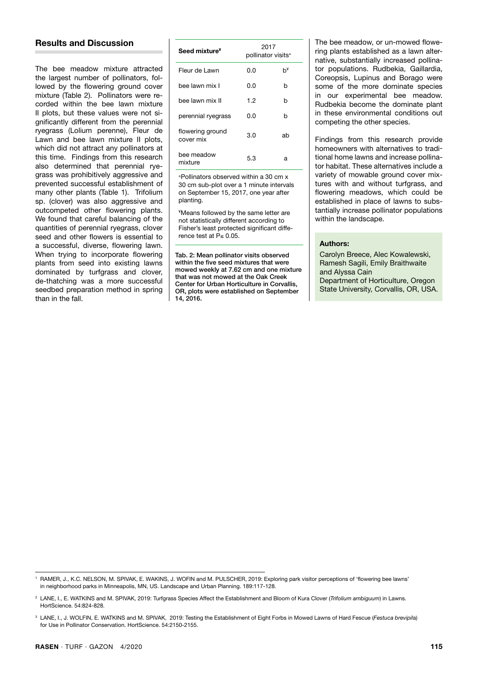# **Results and Discussion**

The bee meadow mixture attracted the largest number of pollinators, followed by the flowering ground cover mixture (Table 2). Pollinators were recorded within the bee lawn mixture II plots, but these values were not significantly different from the perennial ryegrass (Lolium perenne), Fleur de Lawn and bee lawn mixture II plots, which did not attract any pollinators at this time. Findings from this research also determined that perennial ryegrass was prohibitively aggressive and prevented successful establishment of many other plants (Table 1). Trifolium sp. (clover) was also aggressive and outcompeted other flowering plants. We found that careful balancing of the quantities of perennial ryegrass, clover seed and other flowers is essential to a successful, diverse, flowering lawn. When trying to incorporate flowering plants from seed into existing lawns dominated by turfgrass and clover, de-thatching was a more successful seedbed preparation method in spring than in the fall.

| Seed mixture <sup>¥</sup>     | 2017<br>pollinator visits <sup>+</sup> |    |  |  |
|-------------------------------|----------------------------------------|----|--|--|
| Fleur de Lawn                 | 0.O                                    | h¥ |  |  |
| bee lawn mix l                | 0.0                                    | h  |  |  |
| bee lawn mix II               | 1.2                                    | h  |  |  |
| perennial ryegrass            | 0.O                                    | h  |  |  |
| flowering ground<br>cover mix | 3.0                                    | ah |  |  |
| bee meadow<br>mixture         | 5.3                                    | а  |  |  |

±Pollinators observed within a 30 cm x 30 cm sub-plot over a 1 minute intervals on September 15, 2017, one year after planting.

¥Means followed by the same letter are not statistically different according to Fisher's least protected significant difference test at P≤ 0.05.

Tab. 2: Mean pollinator visits observed within the five seed mixtures that were mowed weekly at 7.62 cm and one mixture that was not mowed at the Oak Creek Center for Urban Horticulture in Corvallis, OR, plots were established on September 14, 2016.

The bee meadow, or un-mowed flowering plants established as a lawn alternative, substantially increased pollinator populations. Rudbekia, Gaillardia, Coreopsis, Lupinus and Borago were some of the more dominate species in our experimental bee meadow. Rudbekia become the dominate plant in these environmental conditions out competing the other species.

Findings from this research provide homeowners with alternatives to traditional home lawns and increase pollinator habitat. These alternatives include a variety of mowable ground cover mixtures with and without turfgrass, and flowering meadows, which could be established in place of lawns to substantially increase pollinator populations within the landscape.

#### **Authors:**

Carolyn Breece, Alec Kowalewski, Ramesh Sagili, Emily Braithwaite and Alyssa Cain Department of Horticulture, Oregon State University, Corvallis, OR, USA.

<sup>1</sup> RAMER, J., K.C. NELSON, M. SPIVAK, E. WAKINS, J. WOFIN and M. PULSCHER, 2019: Exploring park visitor perceptions of 'flowering bee lawns' in neighborhood parks in Minneapolis, MN, US. Landscape and Urban Planning. 189:117-128.

<sup>2</sup> LANE, I., E. WATKINS and M. SPIVAK, 2019: Turfgrass Species Affect the Establishment and Bloom of Kura Clover (*Trifolium ambiguum*) in Lawns. HortScience. 54:824-828.

<sup>3</sup> LANE, I., J. WOLFIN, E. WATKINS and M. SPIVAK, 2019: Testing the Establishment of Eight Forbs in Mowed Lawns of Hard Fescue (*Festuca brevipil*a) for Use in Pollinator Conservation. HortScience. 54:2150-2155.